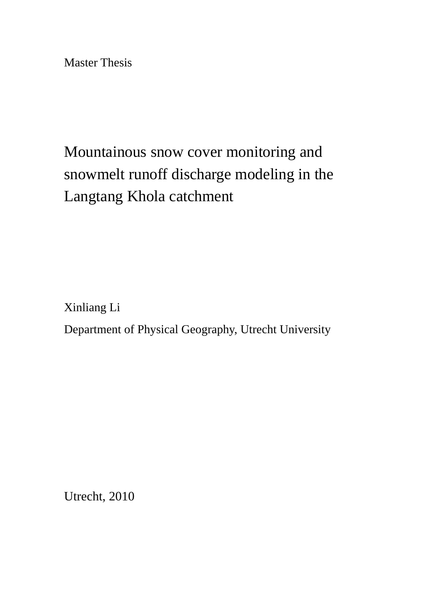Master Thesis

# Mountainous snow cover monitoring and snowmelt runoff discharge modeling in the Langtang Khola catchment

Xinliang Li

Department of Physical Geography, Utrecht University

Utrecht, 2010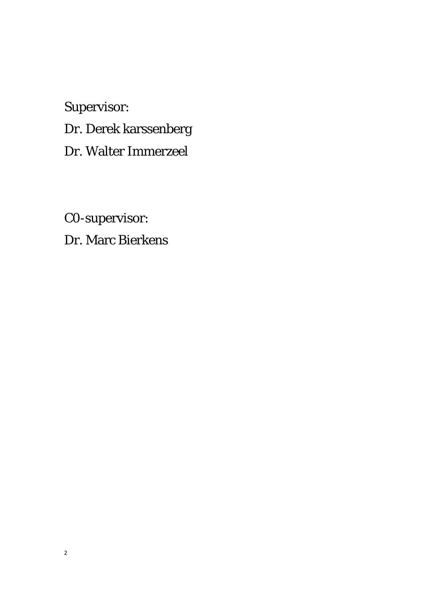Supervisor:

Dr. Derek karssenberg

Dr. Walter Immerzeel

C0-supervisor:

Dr. Marc Bierkens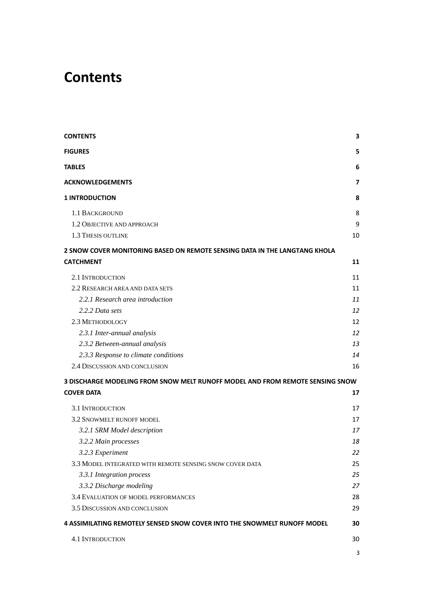# <span id="page-2-0"></span>**Contents**

| <b>CONTENTS</b>                                                               | 3  |
|-------------------------------------------------------------------------------|----|
| <b>FIGURES</b>                                                                | 5  |
| <b>TABLES</b>                                                                 | 6  |
| <b>ACKNOWLEDGEMENTS</b>                                                       | 7  |
| <b>1 INTRODUCTION</b>                                                         | 8  |
| <b>1.1 BACKGROUND</b>                                                         | 8  |
| 1.2 OBJECTIVE AND APPROACH                                                    | 9  |
| 1.3 THESIS OUTLINE                                                            | 10 |
| 2 SNOW COVER MONITORING BASED ON REMOTE SENSING DATA IN THE LANGTANG KHOLA    |    |
| <b>CATCHMENT</b>                                                              | 11 |
| 2.1 INTRODUCTION                                                              | 11 |
| 2.2 RESEARCH AREA AND DATA SETS                                               | 11 |
| 2.2.1 Research area introduction                                              | 11 |
| 2.2.2 Data sets                                                               | 12 |
| 2.3 METHODOLOGY                                                               | 12 |
| 2.3.1 Inter-annual analysis                                                   | 12 |
| 2.3.2 Between-annual analysis                                                 | 13 |
| 2.3.3 Response to climate conditions                                          | 14 |
| 2.4 DISCUSSION AND CONCLUSION                                                 | 16 |
| 3 DISCHARGE MODELING FROM SNOW MELT RUNOFF MODEL AND FROM REMOTE SENSING SNOW |    |
| <b>COVER DATA</b>                                                             | 17 |
| <b>3.1 INTRODUCTION</b>                                                       | 17 |
| 3.2 SNOWMELT RUNOFF MODEL                                                     | 17 |
| 3.2.1 SRM Model description                                                   | 17 |
| 3.2.2 Main processes                                                          | 18 |
| 3.2.3 Experiment                                                              | 22 |
| 3.3 MODEL INTEGRATED WITH REMOTE SENSING SNOW COVER DATA                      | 25 |
| 3.3.1 Integration process                                                     | 25 |
| 3.3.2 Discharge modeling                                                      | 27 |
| 3.4 EVALUATION OF MODEL PERFORMANCES                                          | 28 |
| 3.5 DISCUSSION AND CONCLUSION                                                 | 29 |
| 4 ASSIMILATING REMOTELY SENSED SNOW COVER INTO THE SNOWMELT RUNOFF MODEL      | 30 |
| <b>4.1 INTRODUCTION</b>                                                       | 30 |
|                                                                               | 3  |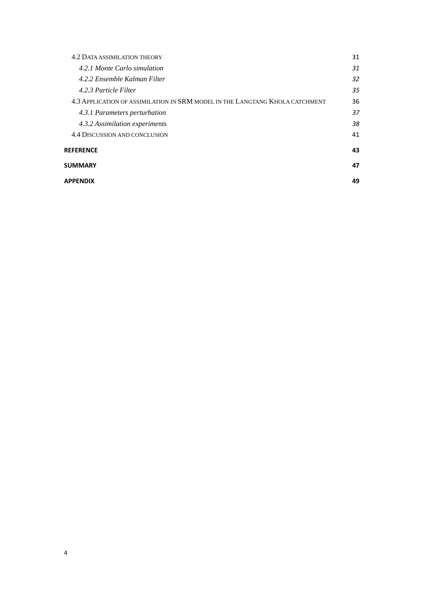| <b>4.2 DATA ASSIMILATION THEORY</b>                                          | 31 |
|------------------------------------------------------------------------------|----|
| 4.2.1 Monte Carlo simulation                                                 | 31 |
| 4.2.2 Ensemble Kalman Filter                                                 | 32 |
| 4.2.3 Particle Filter                                                        | 35 |
| 4.3 APPLICATION OF ASSIMILATION IN SRM MODEL IN THE LANGTANG KHOLA CATCHMENT | 36 |
| 4.3.1 Parameters perturbation                                                | 37 |
| 4.3.2 Assimilation experiments                                               | 38 |
| 4.4 DISCUSSION AND CONCLUSION                                                | 41 |
| <b>REFERENCE</b>                                                             | 43 |
| SUMMARY                                                                      | 47 |
| APPENDIX                                                                     | 49 |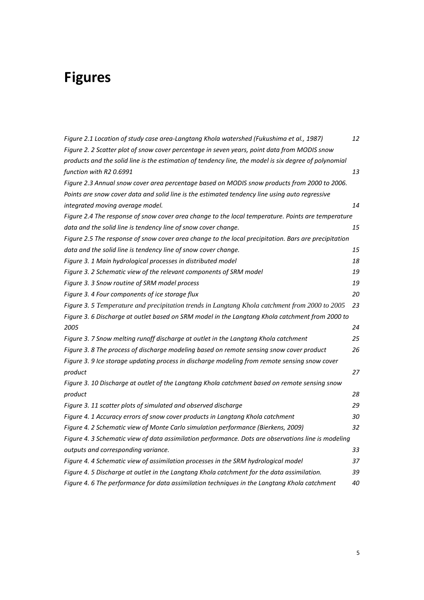# <span id="page-4-0"></span>**Figures**

| Figure 2.1 Location of study case area-Langtang Khola watershed (Fukushima et al., 1987)              | 12 |
|-------------------------------------------------------------------------------------------------------|----|
| Figure 2. 2 Scatter plot of snow cover percentage in seven years, point data from MODIS snow          |    |
| products and the solid line is the estimation of tendency line, the model is six degree of polynomial |    |
| function with R2 0.6991                                                                               | 13 |
| Figure 2.3 Annual snow cover area percentage based on MODIS snow products from 2000 to 2006.          |    |
| Points are snow cover data and solid line is the estimated tendency line using auto regressive        |    |
| integrated moving average model.                                                                      | 14 |
| Figure 2.4 The response of snow cover area change to the local temperature. Points are temperature    |    |
| data and the solid line is tendency line of snow cover change.                                        | 15 |
| Figure 2.5 The response of snow cover area change to the local precipitation. Bars are precipitation  |    |
| data and the solid line is tendency line of snow cover change.                                        | 15 |
| Figure 3. 1 Main hydrological processes in distributed model                                          | 18 |
| Figure 3. 2 Schematic view of the relevant components of SRM model                                    | 19 |
| Figure 3. 3 Snow routine of SRM model process                                                         | 19 |
| Figure 3. 4 Four components of ice storage flux                                                       | 20 |
| Figure 3. 5 Temperature and precipitation trends in Langtang Khola catchment from 2000 to 2005        | 23 |
| Figure 3. 6 Discharge at outlet based on SRM model in the Langtang Khola catchment from 2000 to       |    |
| 2005                                                                                                  | 24 |
| Figure 3. 7 Snow melting runoff discharge at outlet in the Langtang Khola catchment                   | 25 |
| Figure 3. 8 The process of discharge modeling based on remote sensing snow cover product              | 26 |
| Figure 3. 9 Ice storage updating process in discharge modeling from remote sensing snow cover         |    |
| product                                                                                               | 27 |
| Figure 3. 10 Discharge at outlet of the Langtang Khola catchment based on remote sensing snow         |    |
| product                                                                                               | 28 |
| Figure 3. 11 scatter plots of simulated and observed discharge                                        | 29 |
| Figure 4. 1 Accuracy errors of snow cover products in Langtang Khola catchment                        | 30 |
| Figure 4. 2 Schematic view of Monte Carlo simulation performance (Bierkens, 2009)                     | 32 |
| Figure 4. 3 Schematic view of data assimilation performance. Dots are observations line is modeling   |    |
| outputs and corresponding variance.                                                                   | 33 |
| Figure 4. 4 Schematic view of assimilation processes in the SRM hydrological model                    | 37 |
| Figure 4. 5 Discharge at outlet in the Langtang Khola catchment for the data assimilation.            | 39 |
| Figure 4. 6 The performance for data assimilation techniques in the Langtang Khola catchment          | 40 |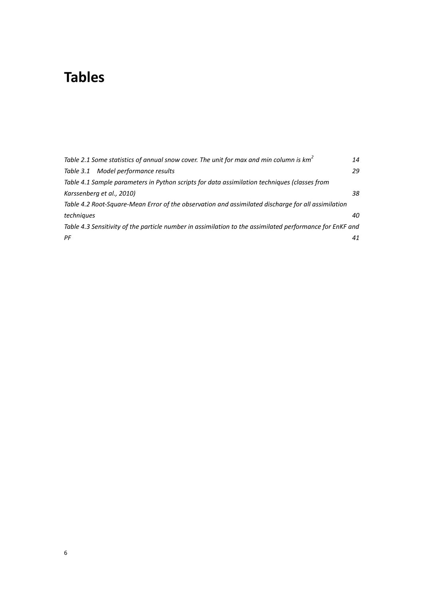# <span id="page-5-0"></span>**Tables**

| Table 2.1 Some statistics of annual snow cover. The unit for max and min column is $km^2$                | 14 |
|----------------------------------------------------------------------------------------------------------|----|
| Table 3.1 Model performance results                                                                      | 29 |
| Table 4.1 Sample parameters in Python scripts for data assimilation techniques (classes from             |    |
| Karssenberg et al., 2010)                                                                                | 38 |
| Table 4.2 Root-Square-Mean Error of the observation and assimilated discharge for all assimilation       |    |
| techniques                                                                                               | 40 |
| Table 4.3 Sensitivity of the particle number in assimilation to the assimilated performance for EnKF and |    |
| PF                                                                                                       | 41 |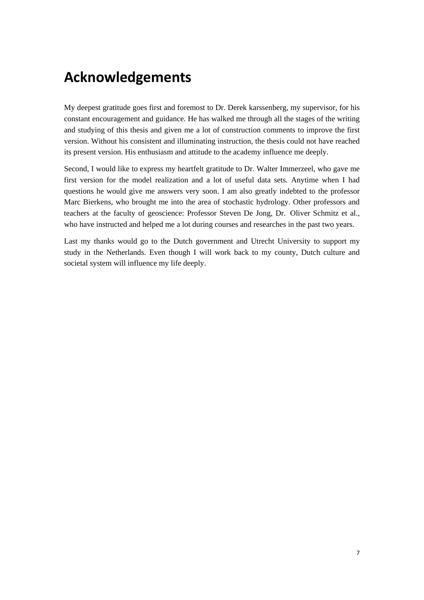# <span id="page-6-0"></span>**Acknowledgements**

My deepest gratitude goes first and foremost to Dr. Derek karssenberg, my supervisor, for his constant encouragement and guidance. He has walked me through all the stages of the writing and studying of this thesis and given me a lot of construction comments to improve the first version. Without his consistent and illuminating instruction, the thesis could not have reached its present version. His enthusiasm and attitude to the academy influence me deeply.

Second, I would like to express my heartfelt gratitude to Dr. Walter Immerzeel, who gave me first version for the model realization and a lot of useful data sets. Anytime when I had questions he would give me answers very soon. I am also greatly indebted to the professor Marc Bierkens, who brought me into the area of stochastic hydrology. Other professors and teachers at the faculty of geoscience: Professor Steven De Jong, Dr. Oliver Schmitz et al., who have instructed and helped me a lot during courses and researches in the past two years.

Last my thanks would go to the Dutch government and Utrecht University to support my study in the Netherlands. Even though I will work back to my county, Dutch culture and societal system will influence my life deeply.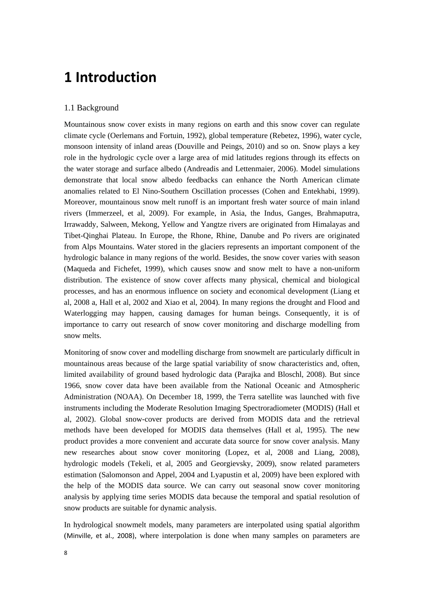# <span id="page-7-0"></span>**1 Introduction**

## <span id="page-7-1"></span>1.1 Background

Mountainous snow cover exists in many regions on earth and this snow cover can regulate climate cycle (Oerlemans and Fortuin, 1992), global temperature (Rebetez, 1996), water cycle, monsoon intensity of inland areas (Douville and Peings, 2010) and so on. Snow plays a key role in the hydrologic cycle over a large area of mid latitudes regions through its effects on the water storage and surface albedo (Andreadis and Lettenmaier, 2006). Model simulations demonstrate that local snow albedo feedbacks can enhance the North American climate anomalies related to El Nino-Southern Oscillation processes (Cohen and Entekhabi, 1999). Moreover, mountainous snow melt runoff is an important fresh water source of main inland rivers (Immerzeel, et al, 2009). For example, in Asia, the Indus, Ganges, Brahmaputra, Irrawaddy, Salween, Mekong, Yellow and Yangtze rivers are originated from Himalayas and Tibet-Qinghai Plateau. In Europe, the Rhone, Rhine, Danube and Po rivers are originated from Alps Mountains. Water stored in the glaciers represents an important component of the hydrologic balance in many regions of the world. Besides, the snow cover varies with season (Maqueda and Fichefet, 1999), which causes snow and snow melt to have a non-uniform distribution. The existence of snow cover affects many physical, chemical and biological processes, and has an enormous influence on society and economical development (Liang et al, 2008 a, Hall et al, 2002 and Xiao et al, 2004). In many regions the drought and Flood and Waterlogging may happen, causing damages for human beings. Consequently, it is of importance to carry out research of snow cover monitoring and discharge modelling from snow melts.

Monitoring of snow cover and modelling discharge from snowmelt are particularly difficult in mountainous areas because of the large spatial variability of snow characteristics and, often, limited availability of ground based hydrologic data (Parajka and Bloschl, 2008). But since 1966, snow cover data have been available from the National Oceanic and Atmospheric Administration (NOAA). On December 18, 1999, the Terra satellite was launched with five instruments including the Moderate Resolution Imaging Spectroradiometer (MODIS) (Hall et al, 2002). Global snow-cover products are derived from MODIS data and the retrieval methods have been developed for MODIS data themselves (Hall et al, 1995). The new product provides a more convenient and accurate data source for snow cover analysis. Many new researches about snow cover monitoring (Lopez, et al, 2008 and Liang, 2008), hydrologic models (Tekeli, et al, 2005 and Georgievsky, 2009), snow related parameters estimation (Salomonson and Appel, 2004 and Lyapustin et al, 2009) have been explored with the help of the MODIS data source. We can carry out seasonal snow cover monitoring analysis by applying time series MODIS data because the temporal and spatial resolution of snow products are suitable for dynamic analysis.

In hydrological snowmelt models, many parameters are interpolated using spatial algorithm (Minville, et al., 2008), where interpolation is done when many samples on parameters are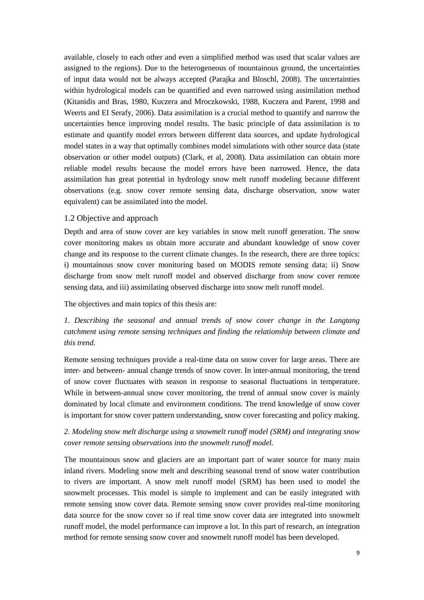available, closely to each other and even a simplified method was used that scalar values are assigned to the regions). Due to the heterogeneous of mountainous ground, the uncertainties of input data would not be always accepted (Parajka and Bloschl, 2008). The uncertainties within hydrological models can be quantified and even narrowed using assimilation method (Kitanidis and Bras, 1980, Kuczera and Mroczkowski, 1988, Kuczera and Parent, 1998 and Weerts and EI Serafy, 2006). Data assimilation is a crucial method to quantify and narrow the uncertainties hence improving model results. The basic principle of data assimilation is to estimate and quantify model errors between different data sources, and update hydrological model states in a way that optimally combines model simulations with other source data (state observation or other model outputs) (Clark, et al, 2008). Data assimilation can obtain more reliable model results because the model errors have been narrowed. Hence, the data assimilation has great potential in hydrology snow melt runoff modeling because different observations (e.g. snow cover remote sensing data, discharge observation, snow water equivalent) can be assimilated into the model.

#### <span id="page-8-0"></span>1.2 Objective and approach

Depth and area of snow cover are key variables in snow melt runoff generation. The snow cover monitoring makes us obtain more accurate and abundant knowledge of snow cover change and its response to the current climate changes. In the research, there are three topics: i) mountainous snow cover monitoring based on MODIS remote sensing data; ii) Snow discharge from snow melt runoff model and observed discharge from snow cover remote sensing data, and iii) assimilating observed discharge into snow melt runoff model.

The objectives and main topics of this thesis are:

# *1. Describing the seasonal and annual trends of snow cover change in the Langtang catchment using remote sensing techniques and finding the relationship between climate and this trend.*

Remote sensing techniques provide a real-time data on snow cover for large areas. There are inter- and between- annual change trends of snow cover. In inter-annual monitoring, the trend of snow cover fluctuates with season in response to seasonal fluctuations in temperature. While in between-annual snow cover monitoring, the trend of annual snow cover is mainly dominated by local climate and environment conditions. The trend knowledge of snow cover is important for snow cover pattern understanding, snow cover forecasting and policy making.

# *2. Modeling snow melt discharge using a snowmelt runoff model (SRM) and integrating snow cover remote sensing observations into the snowmelt runoff model.*

The mountainous snow and glaciers are an important part of water source for many main inland rivers. Modeling snow melt and describing seasonal trend of snow water contribution to rivers are important. A snow melt runoff model (SRM) has been used to model the snowmelt processes. This model is simple to implement and can be easily integrated with remote sensing snow cover data. Remote sensing snow cover provides real-time monitoring data source for the snow cover so if real time snow cover data are integrated into snowmelt runoff model, the model performance can improve a lot. In this part of research, an integration method for remote sensing snow cover and snowmelt runoff model has been developed.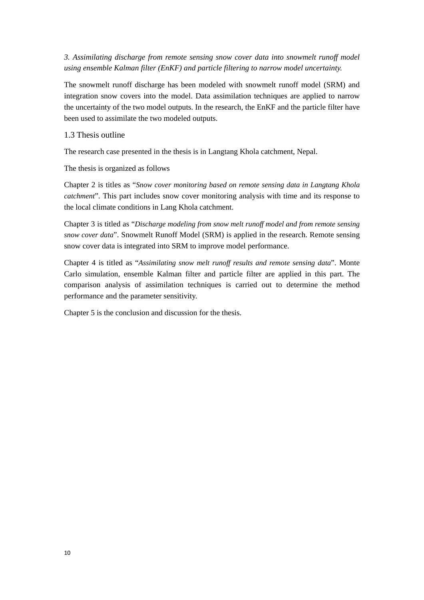*3. Assimilating discharge from remote sensing snow cover data into snowmelt runoff model using ensemble Kalman filter (EnKF) and particle filtering to narrow model uncertainty.*

The snowmelt runoff discharge has been modeled with snowmelt runoff model (SRM) and integration snow covers into the model. Data assimilation techniques are applied to narrow the uncertainty of the two model outputs. In the research, the EnKF and the particle filter have been used to assimilate the two modeled outputs.

#### <span id="page-9-0"></span>1.3 Thesis outline

The research case presented in the thesis is in Langtang Khola catchment, Nepal.

The thesis is organized as follows

Chapter 2 is titles as "*Snow cover monitoring based on remote sensing data in Langtang Khola catchment*". This part includes snow cover monitoring analysis with time and its response to the local climate conditions in Lang Khola catchment.

Chapter 3 is titled as "*Discharge modeling from snow melt runoff model and from remote sensing snow cover data*". Snowmelt Runoff Model (SRM) is applied in the research. Remote sensing snow cover data is integrated into SRM to improve model performance.

Chapter 4 is titled as "*Assimilating snow melt runoff results and remote sensing data*". Monte Carlo simulation, ensemble Kalman filter and particle filter are applied in this part. The comparison analysis of assimilation techniques is carried out to determine the method performance and the parameter sensitivity.

Chapter 5 is the conclusion and discussion for the thesis.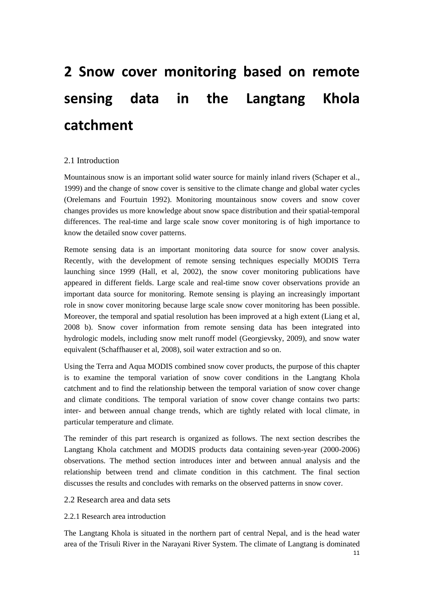# <span id="page-10-0"></span>**2 Snow cover monitoring based on remote sensing data in the Langtang Khola catchment**

## <span id="page-10-1"></span>2.1 Introduction

Mountainous snow is an important solid water source for mainly inland rivers (Schaper et al., 1999) and the change of snow cover is sensitive to the climate change and global water cycles (Orelemans and Fourtuin 1992). Monitoring mountainous snow covers and snow cover changes provides us more knowledge about snow space distribution and their spatial-temporal differences. The real-time and large scale snow cover monitoring is of high importance to know the detailed snow cover patterns.

Remote sensing data is an important monitoring data source for snow cover analysis. Recently, with the development of remote sensing techniques especially MODIS Terra launching since 1999 (Hall, et al, 2002), the snow cover monitoring publications have appeared in different fields. Large scale and real-time snow cover observations provide an important data source for monitoring. Remote sensing is playing an increasingly important role in snow cover monitoring because large scale snow cover monitoring has been possible. Moreover, the temporal and spatial resolution has been improved at a high extent (Liang et al, 2008 b). Snow cover information from remote sensing data has been integrated into hydrologic models, including snow melt runoff model (Georgievsky, 2009), and snow water equivalent (Schaffhauser et al, 2008), soil water extraction and so on.

Using the Terra and Aqua MODIS combined snow cover products, the purpose of this chapter is to examine the temporal variation of snow cover conditions in the Langtang Khola catchment and to find the relationship between the temporal variation of snow cover change and climate conditions. The temporal variation of snow cover change contains two parts: inter- and between annual change trends, which are tightly related with local climate, in particular temperature and climate.

The reminder of this part research is organized as follows. The next section describes the Langtang Khola catchment and MODIS products data containing seven-year (2000-2006) observations. The method section introduces inter and between annual analysis and the relationship between trend and climate condition in this catchment. The final section discusses the results and concludes with remarks on the observed patterns in snow cover.

#### <span id="page-10-2"></span>2.2 Research area and data sets

## <span id="page-10-3"></span>2.2.1 Research area introduction

The Langtang Khola is situated in the northern part of central Nepal, and is the head water area of the Trisuli River in the Narayani River System. The climate of Langtang is dominated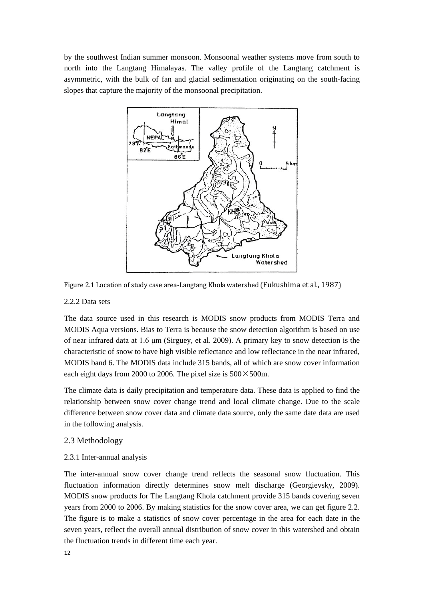by the southwest Indian summer monsoon. Monsoonal weather systems move from south to north into the Langtang Himalayas. The valley profile of the Langtang catchment is asymmetric, with the bulk of fan and glacial sedimentation originating on the south-facing slopes that capture the majority of the monsoonal precipitation.





## <span id="page-11-0"></span>2.2.2 Data sets

The data source used in this research is MODIS snow products from MODIS Terra and MODIS Aqua versions. Bias to Terra is because the snow detection algorithm is based on use of near infrared data at 1.6 μm (Sirguey, et al. 2009). A primary key to snow detection is the characteristic of snow to have high visible reflectance and low reflectance in the near infrared, MODIS band 6. The MODIS data include 315 bands, all of which are snow cover information each eight days from 2000 to 2006. The pixel size is  $500 \times 500$ m.

The climate data is daily precipitation and temperature data. These data is applied to find the relationship between snow cover change trend and local climate change. Due to the scale difference between snow cover data and climate data source, only the same date data are used in the following analysis.

# <span id="page-11-1"></span>2.3 Methodology

# <span id="page-11-2"></span>2.3.1 Inter-annual analysis

The inter-annual snow cover change trend reflects the seasonal snow fluctuation. This fluctuation information directly determines snow melt discharge (Georgievsky, 2009). MODIS snow products for The Langtang Khola catchment provide 315 bands covering seven years from 2000 to 2006. By making statistics for the snow cover area, we can get figure 2.2. The figure is to make a statistics of snow cover percentage in the area for each date in the seven years, reflect the overall annual distribution of snow cover in this watershed and obtain the fluctuation trends in different time each year.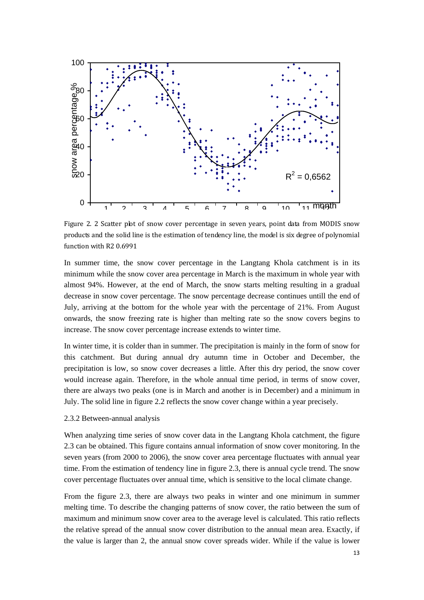

Figure 2. 2 Scatter plot of snow cover percentage in seven years, point data from MODIS snow products and the solid line is the estimation of tendency line, the model is six degree of polynomial function with R2 0.6991

In summer time, the snow cover percentage in the Langtang Khola catchment is in its minimum while the snow cover area percentage in March is the maximum in whole year with almost 94%. However, at the end of March, the snow starts melting resulting in a gradual decrease in snow cover percentage. The snow percentage decrease continues untill the end of July, arriving at the bottom for the whole year with the percentage of 21%. From August onwards, the snow freezing rate is higher than melting rate so the snow covers begins to increase. The snow cover percentage increase extends to winter time.

In winter time, it is colder than in summer. The precipitation is mainly in the form of snow for this catchment. But during annual dry autumn time in October and December, the precipitation is low, so snow cover decreases a little. After this dry period, the snow cover would increase again. Therefore, in the whole annual time period, in terms of snow cover, there are always two peaks (one is in March and another is in December) and a minimum in July. The solid line in figure 2.2 reflects the snow cover change within a year precisely.

#### <span id="page-12-0"></span>2.3.2 Between-annual analysis

When analyzing time series of snow cover data in the Langtang Khola catchment, the figure 2.3 can be obtained. This figure contains annual information of snow cover monitoring. In the seven years (from 2000 to 2006), the snow cover area percentage fluctuates with annual year time. From the estimation of tendency line in figure 2.3, there is annual cycle trend. The snow cover percentage fluctuates over annual time, which is sensitive to the local climate change.

From the figure 2.3, there are always two peaks in winter and one minimum in summer melting time. To describe the changing patterns of snow cover, the ratio between the sum of maximum and minimum snow cover area to the average level is calculated. This ratio reflects the relative spread of the annual snow cover distribution to the annual mean area. Exactly, if the value is larger than 2, the annual snow cover spreads wider. While if the value is lower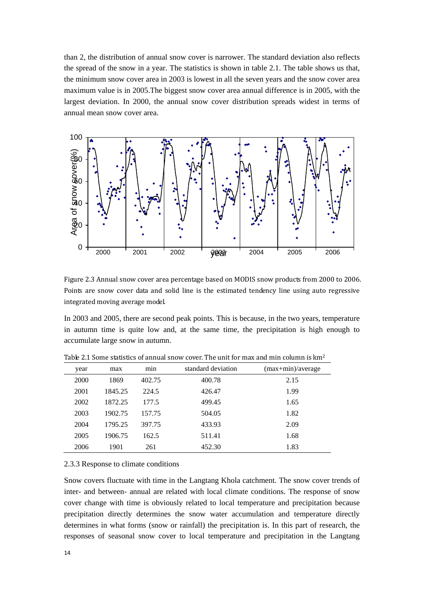than 2, the distribution of annual snow cover is narrower. The standard deviation also reflects the spread of the snow in a year. The statistics is shown in table 2.1. The table shows us that, the minimum snow cover area in 2003 is lowest in all the seven years and the snow cover area maximum value is in 2005.The biggest snow cover area annual difference is in 2005, with the largest deviation. In 2000, the annual snow cover distribution spreads widest in terms of annual mean snow cover area.



Figure 2.3 Annual snow cover area percentage based on MODIS snow products from 2000 to 2006. Points are snow cover data and solid line is the estimated tendency line using auto regressive integrated moving average model.

In 2003 and 2005, there are second peak points. This is because, in the two years, temperature in autumn time is quite low and, at the same time, the precipitation is high enough to accumulate large snow in autumn.

| year | max     | min    | standard deviation | $(max + min)/average$ |
|------|---------|--------|--------------------|-----------------------|
| 2000 | 1869    | 402.75 | 400.78             | 2.15                  |
| 2001 | 1845.25 | 224.5  | 426.47             | 1.99                  |
| 2002 | 1872.25 | 177.5  | 499.45             | 1.65                  |
| 2003 | 1902.75 | 157.75 | 504.05             | 1.82                  |
| 2004 | 1795.25 | 397.75 | 433.93             | 2.09                  |
| 2005 | 1906.75 | 162.5  | 511.41             | 1.68                  |
| 2006 | 1901    | 261    | 452.30             | 1.83                  |

Table 2.1 Some statistics of annual snow cover. The unit for max and min column is km<sup>2</sup>

#### <span id="page-13-0"></span>2.3.3 Response to climate conditions

Snow covers fluctuate with time in the Langtang Khola catchment. The snow cover trends of inter- and between- annual are related with local climate conditions. The response of snow cover change with time is obviously related to local temperature and precipitation because precipitation directly determines the snow water accumulation and temperature directly determines in what forms (snow or rainfall) the precipitation is. In this part of research, the responses of seasonal snow cover to local temperature and precipitation in the Langtang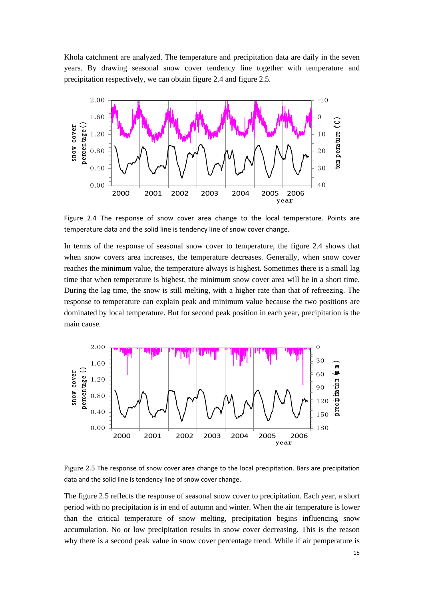Khola catchment are analyzed. The temperature and precipitation data are daily in the seven years. By drawing seasonal snow cover tendency line together with temperature and precipitation respectively, we can obtain figure 2.4 and figure 2.5.



Figure 2.4 The response of snow cover area change to the local temperature. Points are temperature data and the solid line is tendency line of snow cover change.

In terms of the response of seasonal snow cover to temperature, the figure 2.4 shows that when snow covers area increases, the temperature decreases. Generally, when snow cover reaches the minimum value, the temperature always is highest. Sometimes there is a small lag time that when temperature is highest, the minimum snow cover area will be in a short time. During the lag time, the snow is still melting, with a higher rate than that of refreezing. The response to temperature can explain peak and minimum value because the two positions are dominated by local temperature. But for second peak position in each year, precipitation is the main cause.



Figure 2.5 The response of snow cover area change to the local precipitation. Bars are precipitation data and the solid line is tendency line of snow cover change.

The figure 2.5 reflects the response of seasonal snow cover to precipitation. Each year, a short period with no precipitation is in end of autumn and winter. When the air temperature is lower than the critical temperature of snow melting, precipitation begins influencing snow accumulation. No or low precipitation results in snow cover decreasing. This is the reason why there is a second peak value in snow cover percentage trend. While if air pemperature is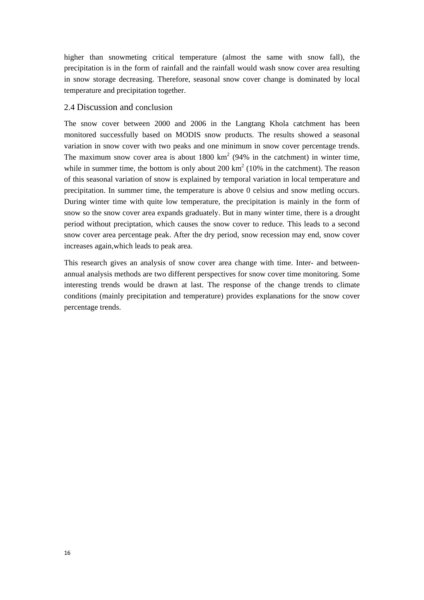higher than snowmeting critical temperature (almost the same with snow fall), the precipitation is in the form of rainfall and the rainfall would wash snow cover area resulting in snow storage decreasing. Therefore, seasonal snow cover change is dominated by local temperature and precipitation together.

# <span id="page-15-0"></span>2.4 Discussion and conclusion

The snow cover between 2000 and 2006 in the Langtang Khola catchment has been monitored successfully based on MODIS snow products. The results showed a seasonal variation in snow cover with two peaks and one minimum in snow cover percentage trends. The maximum snow cover area is about  $1800 \text{ km}^2$  (94% in the catchment) in winter time, while in summer time, the bottom is only about  $200 \text{ km}^2$  (10% in the catchment). The reason of this seasonal variation of snow is explained by temporal variation in local temperature and precipitation. In summer time, the temperature is above 0 celsius and snow metling occurs. During winter time with quite low temperature, the precipitation is mainly in the form of snow so the snow cover area expands graduately. But in many winter time, there is a drought period without preciptation, which causes the snow cover to reduce. This leads to a second snow cover area percentage peak. After the dry period, snow recession may end, snow cover increases again,which leads to peak area.

This research gives an analysis of snow cover area change with time. Inter- and betweenannual analysis methods are two different perspectives for snow cover time monitoring. Some interesting trends would be drawn at last. The response of the change trends to climate conditions (mainly precipitation and temperature) provides explanations for the snow cover percentage trends.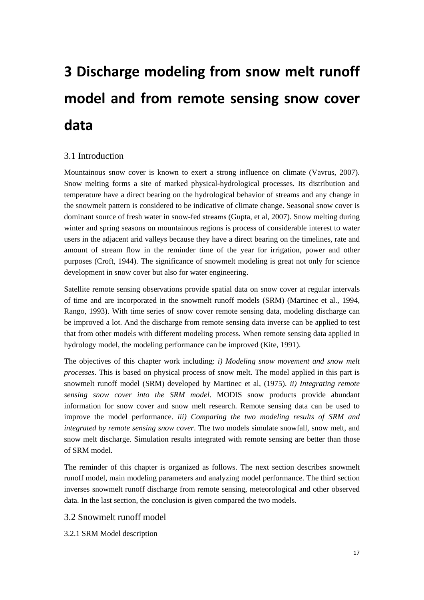# <span id="page-16-0"></span>**3 Discharge modeling from snow melt runoff model and from remote sensing snow cover data**

# <span id="page-16-1"></span>3.1 Introduction

Mountainous snow cover is known to exert a strong influence on climate (Vavrus, 2007). Snow melting forms a site of marked physical-hydrological processes. Its distribution and temperature have a direct bearing on the hydrological behavior of streams and any change in the snowmelt pattern is considered to be indicative of climate change. Seasonal snow cover is dominant source of fresh water in snow-fed streams (Gupta, et al, 2007). Snow melting during winter and spring seasons on mountainous regions is process of considerable interest to water users in the adjacent arid valleys because they have a direct bearing on the timelines, rate and amount of stream flow in the reminder time of the year for irrigation, power and other purposes (Croft, 1944). The significance of snowmelt modeling is great not only for science development in snow cover but also for water engineering.

Satellite remote sensing observations provide spatial data on snow cover at regular intervals of time and are incorporated in the snowmelt runoff models (SRM) (Martinec et al., 1994, Rango, 1993). With time series of snow cover remote sensing data, modeling discharge can be improved a lot. And the discharge from remote sensing data inverse can be applied to test that from other models with different modeling process. When remote sensing data applied in hydrology model, the modeling performance can be improved (Kite, 1991).

The objectives of this chapter work including: *i) Modeling snow movement and snow melt processes*. This is based on physical process of snow melt. The model applied in this part is snowmelt runoff model (SRM) developed by Martinec et al, (1975). *ii) Integrating remote sensing snow cover into the SRM model*. MODIS snow products provide abundant information for snow cover and snow melt research. Remote sensing data can be used to improve the model performance. *iii) Comparing the two modeling results of SRM and integrated by remote sensing snow cover*. The two models simulate snowfall, snow melt, and snow melt discharge. Simulation results integrated with remote sensing are better than those of SRM model.

The reminder of this chapter is organized as follows. The next section describes snowmelt runoff model, main modeling parameters and analyzing model performance. The third section inverses snowmelt runoff discharge from remote sensing, meteorological and other observed data. In the last section, the conclusion is given compared the two models.

# <span id="page-16-2"></span>3.2 Snowmelt runoff model

<span id="page-16-3"></span>3.2.1 SRM Model description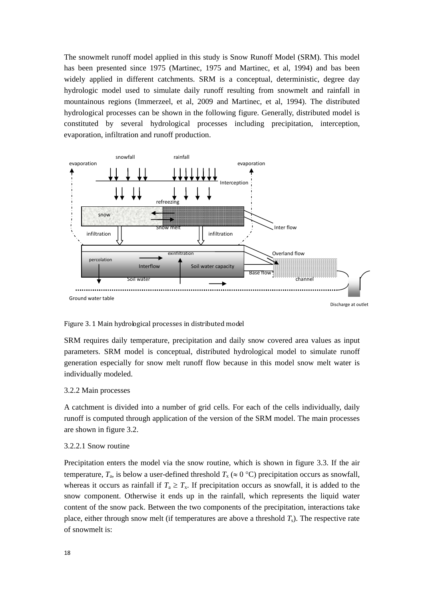The snowmelt runoff model applied in this study is Snow Runoff Model (SRM). This model has been presented since 1975 (Martinec, 1975 and Martinec, et al, 1994) and bas been widely applied in different catchments. SRM is a conceptual, deterministic, degree day hydrologic model used to simulate daily runoff resulting from snowmelt and rainfall in mountainous regions (Immerzeel, et al, 2009 and Martinec, et al, 1994). The distributed hydrological processes can be shown in the following figure. Generally, distributed model is constituted by several hydrological processes including precipitation, interception, evaporation, infiltration and runoff production.



Figure 3. 1 Main hydrological processes in distributed model

SRM requires daily temperature, precipitation and daily snow covered area values as input parameters. SRM model is conceptual, distributed hydrological model to simulate runoff generation especially for snow melt runoff flow because in this model snow melt water is individually modeled.

#### <span id="page-17-0"></span>3.2.2 Main processes

A catchment is divided into a number of grid cells. For each of the cells individually, daily runoff is computed through application of the version of the SRM model. The main processes are shown in figure 3.2.

#### 3.2.2.1 Snow routine

Precipitation enters the model via the snow routine, which is shown in figure 3.3. If the air temperature,  $T_a$ , is below a user-defined threshold  $T_x \approx 0$  °C) precipitation occurs as snowfall, whereas it occurs as rainfall if  $T_a \geq T_x$ . If precipitation occurs as snowfall, it is added to the snow component. Otherwise it ends up in the rainfall, which represents the liquid water content of the snow pack. Between the two components of the precipitation, interactions take place, either through snow melt (if temperatures are above a threshold  $T_s$ ). The respective rate of snowmelt is: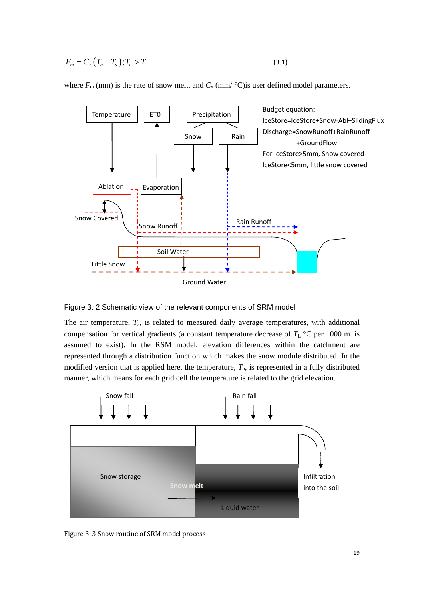$$
F_m = C_x \left( T_a - T_s \right); T_a > T \tag{3.1}
$$

where  $F_m$  (mm) is the rate of snow melt, and  $C_x$  (mm/ $\degree$ C) is user defined model parameters.



Figure 3. 2 Schematic view of the relevant components of SRM model

The air temperature, *T*a, is related to measured daily average temperatures, with additional compensation for vertical gradients (a constant temperature decrease of *T*<sup>L</sup> °C per 1000 m. is assumed to exist). In the RSM model, elevation differences within the catchment are represented through a distribution function which makes the snow module distributed. In the modified version that is applied here, the temperature,  $T_a$ , is represented in a fully distributed manner, which means for each grid cell the temperature is related to the grid elevation.



Figure 3. 3 Snow routine of SRM model process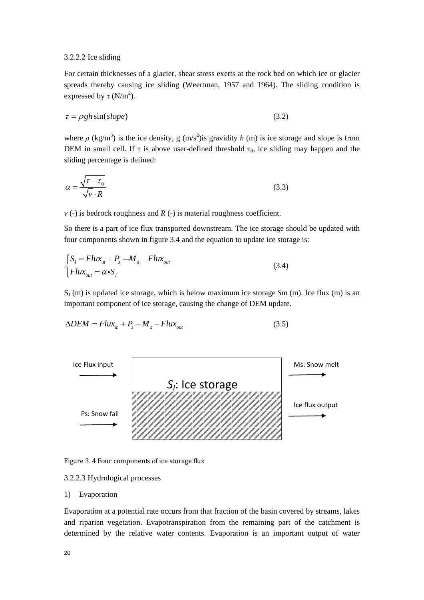#### 3.2.2.2 Ice sliding

For certain thicknesses of a glacier, shear stress exerts at the rock bed on which ice or glacier spreads thereby causing ice sliding (Weertman, 1957 and 1964). The sliding condition is expressed by  $\tau$  (N/m<sup>2</sup>).

$$
\tau = \rho g h \sin(s \, l \, \text{opp}) \tag{3.2}
$$

where  $\rho$  (kg/m<sup>3</sup>) is the ice density, g (m/s<sup>2</sup>) is gravidity *h* (m) is ice storage and slope is from DEM in small cell. If  $\tau$  is above user-defined threshold  $\tau_0$ , ice sliding may happen and the sliding percentage is defined:

$$
\alpha = \frac{\sqrt{\tau - \tau_0}}{\sqrt{v} \cdot R} \tag{3.3}
$$

*v* (-) is bedrock roughness and *R* (-) is material roughness coefficient.

So there is a part of ice flux transported downstream. The ice storage should be updated with four components shown in figure 3.4 and the equation to update ice storage is:

$$
\begin{cases}\nS_1 = Flux_{in} + P_s - M_s & Flux_{out} \\
Flux_{out} = \alpha \cdot S_t\n\end{cases}
$$
\n(3.4)

 $S_1$  (m) is updated ice storage, which is below maximum ice storage  $S_m$  (m). Ice flux (m) is an important component of ice storage, causing the change of DEM update.

$$
\Delta DEM = Flux_{in} + P_s - M_s - Flux_{out} \tag{3.5}
$$



Figure 3. 4 Four components of ice storage flux

#### 3.2.2.3 Hydrological processes

## 1) Evaporation

Evaporation at a potential rate occurs from that fraction of the basin covered by streams, lakes and riparian vegetation. Evapotranspiration from the remaining part of the catchment is determined by the relative water contents. Evaporation is an important output of water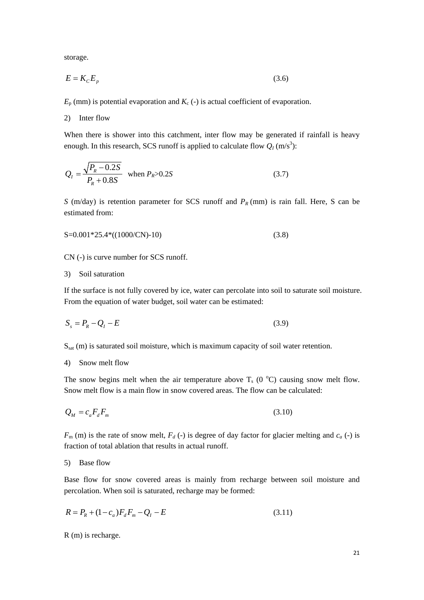storage.

$$
E = K_c E_p \tag{3.6}
$$

 $E_p$  (mm) is potential evaporation and  $K_c$  (-) is actual coefficient of evaporation.

2) Inter flow

When there is shower into this catchment, inter flow may be generated if rainfall is heavy enough. In this research, SCS runoff is applied to calculate flow  $Q_I$  (m/s<sup>3</sup>):

$$
Q_{I} = \frac{\sqrt{P_{R} - 0.2S}}{P_{R} + 0.8S}
$$
 when  $P_{R} > 0.2S$  (3.7)

*S* (m/day) is retention parameter for SCS runoff and  $P_R$  (mm) is rain fall. Here, S can be estimated from:

$$
S=0.001*25.4*(1000/CN)-10
$$
\n(3.8)

CN (-) is curve number for SCS runoff.

#### 3) Soil saturation

If the surface is not fully covered by ice, water can percolate into soil to saturate soil moisture. From the equation of water budget, soil water can be estimated:

$$
S_s = P_R - Q_I - E \tag{3.9}
$$

Ssat (m) is saturated soil moisture, which is maximum capacity of soil water retention.

## 4) Snow melt flow

The snow begins melt when the air temperature above  $T_s$  (0 °C) causing snow melt flow. Snow melt flow is a main flow in snow covered areas. The flow can be calculated:

$$
Q_M = c_a F_d F_m \tag{3.10}
$$

 $F<sub>m</sub>$  (m) is the rate of snow melt,  $F<sub>d</sub>$  (-) is degree of day factor for glacier melting and  $c<sub>a</sub>$  (-) is fraction of total ablation that results in actual runoff.

#### 5) Base flow

Base flow for snow covered areas is mainly from recharge between soil moisture and percolation. When soil is saturated, recharge may be formed:

$$
R = P_R + (1 - c_a)F_d F_m - Q_I - E \tag{3.11}
$$

R (m) is recharge.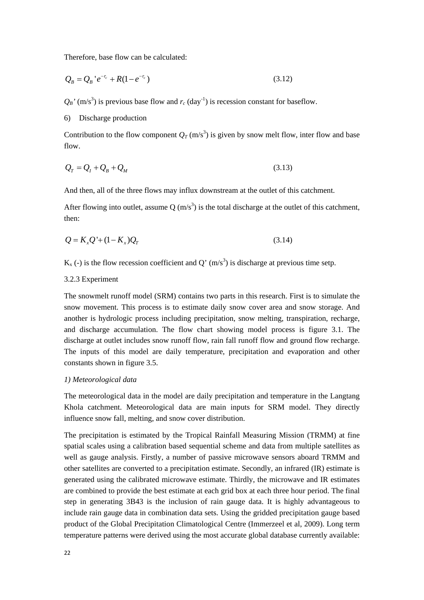Therefore, base flow can be calculated:

$$
Q_B = Q_B' e^{-r_c} + R(1 - e^{-r_c})
$$
\n(3.12)

 $Q_B'$ <sup>'</sup> (m/s<sup>3</sup>) is previous base flow and  $r_c$  (day<sup>-1</sup>) is recession constant for baseflow.

6) Discharge production

Contribution to the flow component  $Q_T$  (m/s<sup>3</sup>) is given by snow melt flow, inter flow and base flow.

$$
Q_T = Q_I + Q_B + Q_M \tag{3.13}
$$

And then, all of the three flows may influx downstream at the outlet of this catchment.

After flowing into outlet, assume Q  $(m/s<sup>3</sup>)$  is the total discharge at the outlet of this catchment, then:

$$
Q = K_x Q' + (1 - K_x)Q_T \tag{3.14}
$$

 $K_x$  (-) is the flow recession coefficient and Q' (m/s<sup>3</sup>) is discharge at previous time setp.

#### <span id="page-21-0"></span>3.2.3 Experiment

The snowmelt runoff model (SRM) contains two parts in this research. First is to simulate the snow movement. This process is to estimate daily snow cover area and snow storage. And another is hydrologic process including precipitation, snow melting, transpiration, recharge, and discharge accumulation. The flow chart showing model process is figure 3.1. The discharge at outlet includes snow runoff flow, rain fall runoff flow and ground flow recharge. The inputs of this model are daily temperature, precipitation and evaporation and other constants shown in figure 3.5.

#### *1) Meteorological data*

The meteorological data in the model are daily precipitation and temperature in the Langtang Khola catchment. Meteorological data are main inputs for SRM model. They directly influence snow fall, melting, and snow cover distribution.

The precipitation is estimated by the Tropical Rainfall Measuring Mission (TRMM) at fine spatial scales using a calibration based sequential scheme and data from multiple satellites as well as gauge analysis. Firstly, a number of passive microwave sensors aboard TRMM and other satellites are converted to a precipitation estimate. Secondly, an infrared (IR) estimate is generated using the calibrated microwave estimate. Thirdly, the microwave and IR estimates are combined to provide the best estimate at each grid box at each three hour period. The final step in generating 3B43 is the inclusion of rain gauge data. It is highly advantageous to include rain gauge data in combination data sets. Using the gridded precipitation gauge based product of the Global Precipitation Climatological Centre (Immerzeel et al, 2009). Long term temperature patterns were derived using the most accurate global database currently available: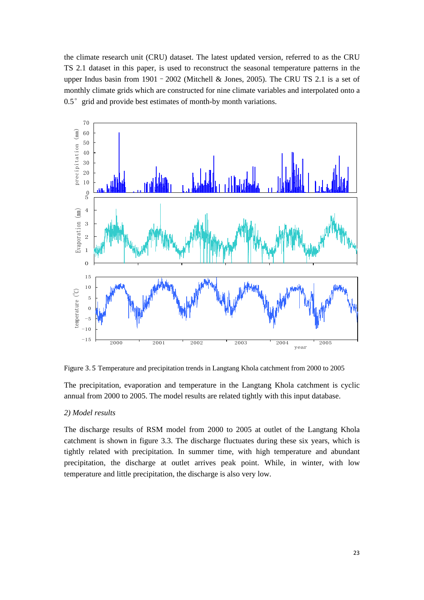the climate research unit (CRU) dataset. The latest updated version, referred to as the CRU TS 2.1 dataset in this paper, is used to reconstruct the seasonal temperature patterns in the upper Indus basin from 1901 - 2002 (Mitchell & Jones, 2005). The CRU TS 2.1 is a set of monthly climate grids which are constructed for nine climate variables and interpolated onto a 0.5° grid and provide best estimates of month-by month variations.



Figure 3. 5 Temperature and precipitation trends in Langtang Khola catchment from 2000 to 2005

The precipitation, evaporation and temperature in the Langtang Khola catchment is cyclic annual from 2000 to 2005. The model results are related tightly with this input database.

#### *2) Model results*

The discharge results of RSM model from 2000 to 2005 at outlet of the Langtang Khola catchment is shown in figure 3.3. The discharge fluctuates during these six years, which is tightly related with precipitation. In summer time, with high temperature and abundant precipitation, the discharge at outlet arrives peak point. While, in winter, with low temperature and little precipitation, the discharge is also very low.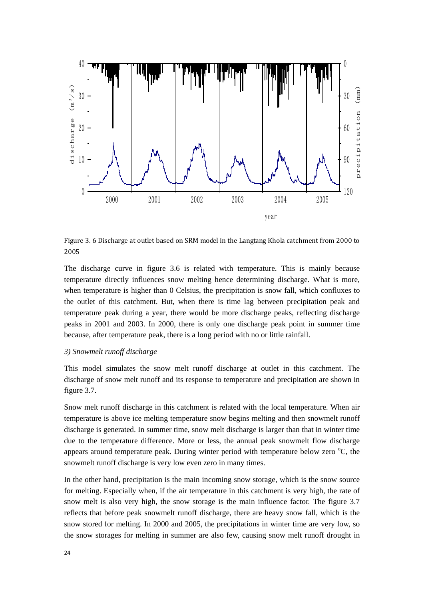

Figure 3. 6 Discharge at outlet based on SRM model in the Langtang Khola catchment from 2000 to 2005

The discharge curve in figure 3.6 is related with temperature. This is mainly because temperature directly influences snow melting hence determining discharge. What is more, when temperature is higher than 0 Celsius, the precipitation is snow fall, which confluxes to the outlet of this catchment. But, when there is time lag between precipitation peak and temperature peak during a year, there would be more discharge peaks, reflecting discharge peaks in 2001 and 2003. In 2000, there is only one discharge peak point in summer time because, after temperature peak, there is a long period with no or little rainfall.

#### *3) Snowmelt runoff discharge*

This model simulates the snow melt runoff discharge at outlet in this catchment. The discharge of snow melt runoff and its response to temperature and precipitation are shown in figure 3.7.

Snow melt runoff discharge in this catchment is related with the local temperature. When air temperature is above ice melting temperature snow begins melting and then snowmelt runoff discharge is generated. In summer time, snow melt discharge is larger than that in winter time due to the temperature difference. More or less, the annual peak snowmelt flow discharge appears around temperature peak. During winter period with temperature below zero  $\mathrm{^{\circ}C}$ , the snowmelt runoff discharge is very low even zero in many times.

In the other hand, precipitation is the main incoming snow storage, which is the snow source for melting. Especially when, if the air temperature in this catchment is very high, the rate of snow melt is also very high, the snow storage is the main influence factor. The figure 3.7 reflects that before peak snowmelt runoff discharge, there are heavy snow fall, which is the snow stored for melting. In 2000 and 2005, the precipitations in winter time are very low, so the snow storages for melting in summer are also few, causing snow melt runoff drought in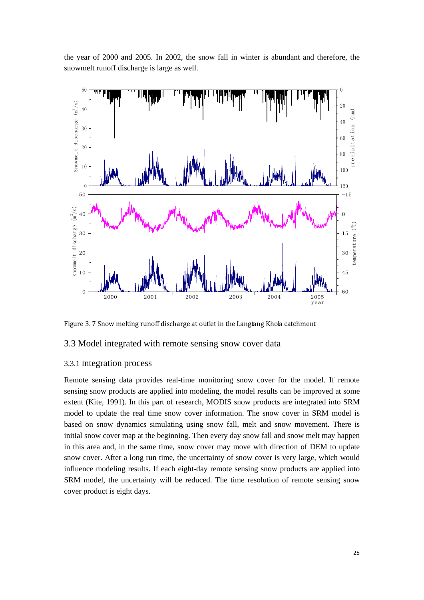the year of 2000 and 2005. In 2002, the snow fall in winter is abundant and therefore, the snowmelt runoff discharge is large as well.



<span id="page-24-0"></span>Figure 3.7 Snow melting runoff discharge at outlet in the Langtang Khola catchment

## 3.3 Model integrated with remote sensing snow cover data

## <span id="page-24-1"></span>3.3.1 Integration process

Remote sensing data provides real-time monitoring snow cover for the model. If remote sensing snow products are applied into modeling, the model results can be improved at some extent (Kite, 1991). In this part of research, MODIS snow products are integrated into SRM model to update the real time snow cover information. The snow cover in SRM model is based on snow dynamics simulating using snow fall, melt and snow movement. There is initial snow cover map at the beginning. Then every day snow fall and snow melt may happen in this area and, in the same time, snow cover may move with direction of DEM to update snow cover. After a long run time, the uncertainty of snow cover is very large, which would influence modeling results. If each eight-day remote sensing snow products are applied into SRM model, the uncertainty will be reduced. The time resolution of remote sensing snow cover product is eight days.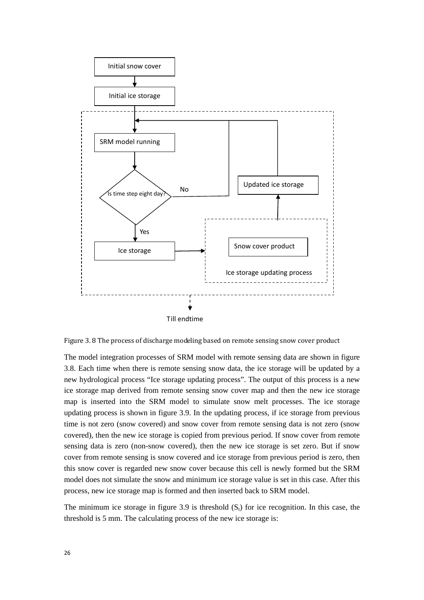

Figure 3. 8 The process of discharge modeling based on remote sensing snow cover product

The model integration processes of SRM model with remote sensing data are shown in figure 3.8. Each time when there is remote sensing snow data, the ice storage will be updated by a new hydrological process "Ice storage updating process". The output of this process is a new ice storage map derived from remote sensing snow cover map and then the new ice storage map is inserted into the SRM model to simulate snow melt processes. The ice storage updating process is shown in figure 3.9. In the updating process, if ice storage from previous time is not zero (snow covered) and snow cover from remote sensing data is not zero (snow covered), then the new ice storage is copied from previous period. If snow cover from remote sensing data is zero (non-snow covered), then the new ice storage is set zero. But if snow cover from remote sensing is snow covered and ice storage from previous period is zero, then this snow cover is regarded new snow cover because this cell is newly formed but the SRM model does not simulate the snow and minimum ice storage value is set in this case. After this process, new ice storage map is formed and then inserted back to SRM model.

The minimum ice storage in figure 3.9 is threshold  $(S<sub>t</sub>)$  for ice recognition. In this case, the threshold is 5 mm. The calculating process of the new ice storage is: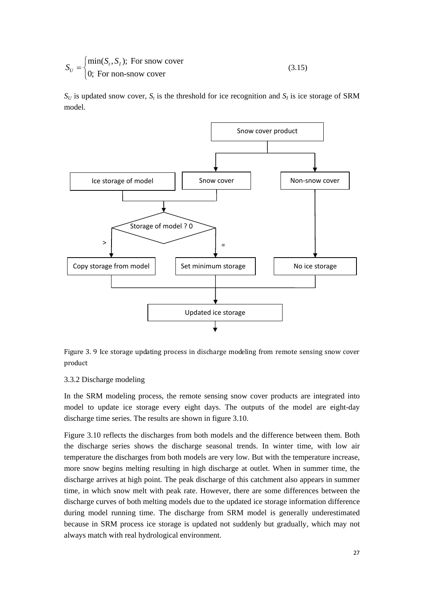$$
S_U = \begin{cases} \min(S_t, S_t); & \text{For snow cover} \\ 0; & \text{For non-smow cover} \end{cases} \tag{3.15}
$$

 $S_U$  is updated snow cover,  $S_t$  is the threshold for ice recognition and  $S_I$  is ice storage of SRM model.



Figure 3. 9 Ice storage updating process in discharge modeling from remote sensing snow cover product

#### <span id="page-26-0"></span>3.3.2 Discharge modeling

In the SRM modeling process, the remote sensing snow cover products are integrated into model to update ice storage every eight days. The outputs of the model are eight-day discharge time series. The results are shown in figure 3.10.

Figure 3.10 reflects the discharges from both models and the difference between them. Both the discharge series shows the discharge seasonal trends. In winter time, with low air temperature the discharges from both models are very low. But with the temperature increase, more snow begins melting resulting in high discharge at outlet. When in summer time, the discharge arrives at high point. The peak discharge of this catchment also appears in summer time, in which snow melt with peak rate. However, there are some differences between the discharge curves of both melting models due to the updated ice storage information difference during model running time. The discharge from SRM model is generally underestimated because in SRM process ice storage is updated not suddenly but gradually, which may not always match with real hydrological environment.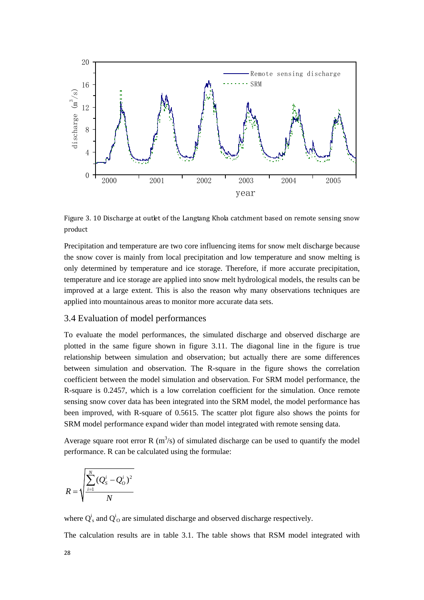

Figure 3. 10 Discharge at outlet of the Langtang Khola catchment based on remote sensing snow product

Precipitation and temperature are two core influencing items for snow melt discharge because the snow cover is mainly from local precipitation and low temperature and snow melting is only determined by temperature and ice storage. Therefore, if more accurate precipitation, temperature and ice storage are applied into snow melt hydrological models, the results can be improved at a large extent. This is also the reason why many observations techniques are applied into mountainous areas to monitor more accurate data sets.

# <span id="page-27-0"></span>3.4 Evaluation of model performances

To evaluate the model performances, the simulated discharge and observed discharge are plotted in the same figure shown in figure 3.11. The diagonal line in the figure is true relationship between simulation and observation; but actually there are some differences between simulation and observation. The R-square in the figure shows the correlation coefficient between the model simulation and observation. For SRM model performance, the R-square is 0.2457, which is a low correlation coefficient for the simulation. Once remote sensing snow cover data has been integrated into the SRM model, the model performance has been improved, with R-square of 0.5615. The scatter plot figure also shows the points for SRM model performance expand wider than model integrated with remote sensing data.

Average square root error R  $(m<sup>3</sup>/s)$  of simulated discharge can be used to quantify the model performance. R can be calculated using the formulae:

$$
R = \sqrt{\frac{\sum_{i=1}^{N} (Q_{S}^{i} - Q_{O}^{i})^{2}}{N}}
$$

where  $Q^i_s$  and  $Q^i_o$  are simulated discharge and observed discharge respectively.

The calculation results are in table 3.1. The table shows that RSM model integrated with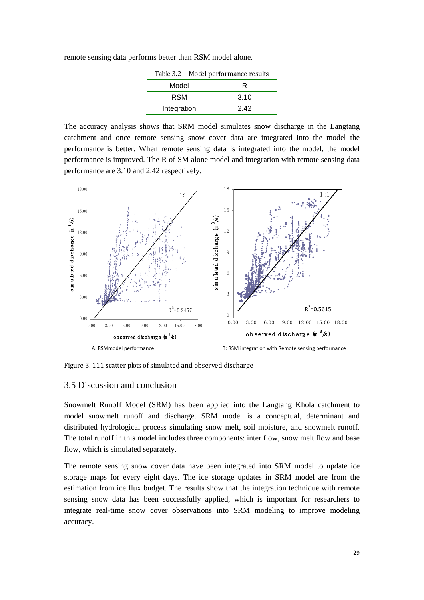remote sensing data performs better than RSM model alone.

|             |       | Table 3.2 Model performance results |
|-------------|-------|-------------------------------------|
|             | Model | R                                   |
| RSM         |       | 3.10                                |
| Integration |       | 242                                 |

The accuracy analysis shows that SRM model simulates snow discharge in the Langtang catchment and once remote sensing snow cover data are integrated into the model the performance is better. When remote sensing data is integrated into the model, the model performance is improved. The R of SM alone model and integration with remote sensing data performance are 3.10 and 2.42 respectively.



<span id="page-28-0"></span>Figure 3. 111 scatter plots of simulated and observed discharge

## 3.5 Discussion and conclusion

Snowmelt Runoff Model (SRM) has been applied into the Langtang Khola catchment to model snowmelt runoff and discharge. SRM model is a conceptual, determinant and distributed hydrological process simulating snow melt, soil moisture, and snowmelt runoff. The total runoff in this model includes three components: inter flow, snow melt flow and base flow, which is simulated separately.

The remote sensing snow cover data have been integrated into SRM model to update ice storage maps for every eight days. The ice storage updates in SRM model are from the estimation from ice flux budget. The results show that the integration technique with remote sensing snow data has been successfully applied, which is important for researchers to integrate real-time snow cover observations into SRM modeling to improve modeling accuracy.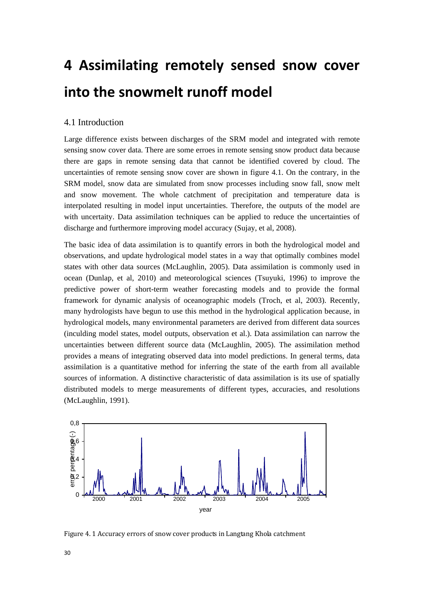# <span id="page-29-0"></span>**4 Assimilating remotely sensed snow cover into the snowmelt runoff model**

# <span id="page-29-1"></span>4.1 Introduction

Large difference exists between discharges of the SRM model and integrated with remote sensing snow cover data. There are some erroes in remote sensing snow product data because there are gaps in remote sensing data that cannot be identified covered by cloud. The uncertainties of remote sensing snow cover are shown in figure 4.1. On the contrary, in the SRM model, snow data are simulated from snow processes including snow fall, snow melt and snow movement. The whole catchment of precipitation and temperature data is interpolated resulting in model input uncertainties. Therefore, the outputs of the model are with uncertaity. Data assimilation techniques can be applied to reduce the uncertainties of discharge and furthermore improving model accuracy (Sujay, et al, 2008).

The basic idea of data assimilation is to quantify errors in both the hydrological model and observations, and update hydrological model states in a way that optimally combines model states with other data sources (McLaughlin, 2005). Data assimilation is commonly used in ocean (Dunlap, et al, 2010) and meteorological sciences (Tsuyuki, 1996) to improve the predictive power of short-term weather forecasting models and to provide the formal framework for dynamic analysis of oceanographic models (Troch, et al, 2003). Recently, many hydrologists have begun to use this method in the hydrological application because, in hydrological models, many environmental parameters are derived from different data sources (inculding model states, model outputs, observation et al.). Data assimilation can narrow the uncertainties between different source data (McLaughlin, 2005). The assimilation method provides a means of integrating observed data into model predictions. In general terms, data assimilation is a quantitative method for inferring the state of the earth from all available sources of information. A distinctive characteristic of data assimilation is its use of spatially distributed models to merge measurements of different types, accuracies, and resolutions (McLaughlin, 1991).



Figure 4. 1 Accuracy errors of snow cover products in Langtang Khola catchment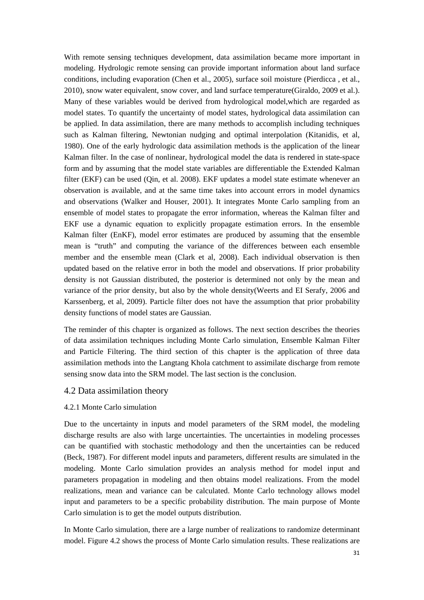With remote sensing techniques development, data assimilation became more important in modeling. Hydrologic remote sensing can provide important information about land surface conditions, including evaporation (Chen et al., 2005), surface soil moisture (Pierdicca , et al., 2010), snow water equivalent, snow cover, and land surface temperature(Giraldo, 2009 et al.). Many of these variables would be derived from hydrological model,which are regarded as model states. To quantify the uncertainty of model states, hydrological data assimilation can be applied. In data assimilation, there are many methods to accomplish including techniques such as Kalman filtering, Newtonian nudging and optimal interpolation (Kitanidis, et al, 1980). One of the early hydrologic data assimilation methods is the application of the linear Kalman filter. In the case of nonlinear, hydrological model the data is rendered in state-space form and by assuming that the model state variables are differentiable the Extended Kalman filter (EKF) can be used (Qin, et al. 2008). EKF updates a model state estimate whenever an observation is available, and at the same time takes into account errors in model dynamics and observations (Walker and Houser, 2001). It integrates Monte Carlo sampling from an ensemble of model states to propagate the error information, whereas the Kalman filter and EKF use a dynamic equation to explicitly propagate estimation errors. In the ensemble Kalman filter (EnKF), model error estimates are produced by assuming that the ensemble mean is "truth" and computing the variance of the differences between each ensemble member and the ensemble mean (Clark et al, 2008). Each individual observation is then updated based on the relative error in both the model and observations. If prior probability density is not Gaussian distributed, the posterior is determined not only by the mean and variance of the prior density, but also by the whole density(Weerts and EI Serafy, 2006 and Karssenberg, et al, 2009). Particle filter does not have the assumption that prior probability density functions of model states are Gaussian.

The reminder of this chapter is organized as follows. The next section describes the theories of data assimilation techniques including Monte Carlo simulation, Ensemble Kalman Filter and Particle Filtering. The third section of this chapter is the application of three data assimilation methods into the Langtang Khola catchment to assimilate discharge from remote sensing snow data into the SRM model. The last section is the conclusion.

## <span id="page-30-0"></span>4.2 Data assimilation theory

#### <span id="page-30-1"></span>4.2.1 Monte Carlo simulation

Due to the uncertainty in inputs and model parameters of the SRM model, the modeling discharge results are also with large uncertainties. The uncertainties in modeling processes can be quantified with stochastic methodology and then the uncertainties can be reduced (Beck, 1987). For different model inputs and parameters, different results are simulated in the modeling. Monte Carlo simulation provides an analysis method for model input and parameters propagation in modeling and then obtains model realizations. From the model realizations, mean and variance can be calculated. Monte Carlo technology allows model input and parameters to be a specific probability distribution. The main purpose of Monte Carlo simulation is to get the model outputs distribution.

In Monte Carlo simulation, there are a large number of realizations to randomize determinant model. Figure 4.2 shows the process of Monte Carlo simulation results. These realizations are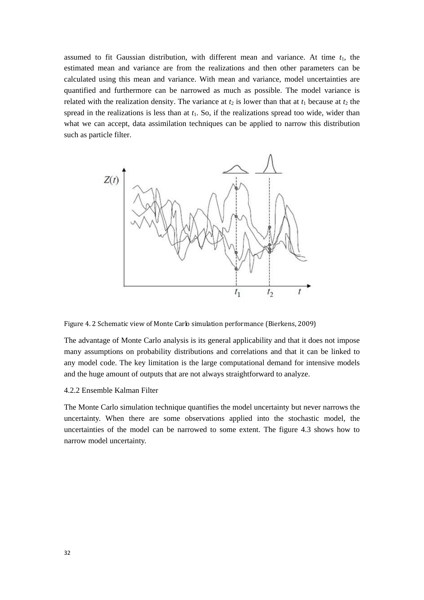assumed to fit Gaussian distribution, with different mean and variance. At time  $t_1$ , the estimated mean and variance are from the realizations and then other parameters can be calculated using this mean and variance. With mean and variance, model uncertainties are quantified and furthermore can be narrowed as much as possible. The model variance is related with the realization density. The variance at  $t_2$  is lower than that at  $t_1$  because at  $t_2$  the spread in the realizations is less than at  $t_1$ . So, if the realizations spread too wide, wider than what we can accept, data assimilation techniques can be applied to narrow this distribution such as particle filter.



Figure 4. 2 Schematic view of Monte Carlo simulation performance (Bierkens, 2009)

The advantage of Monte Carlo analysis is its general applicability and that it does not impose many assumptions on probability distributions and correlations and that it can be linked to any model code. The key limitation is the large computational demand for intensive models and the huge amount of outputs that are not always straightforward to analyze.

#### <span id="page-31-0"></span>4.2.2 Ensemble Kalman Filter

The Monte Carlo simulation technique quantifies the model uncertainty but never narrows the uncertainty. When there are some observations applied into the stochastic model, the uncertainties of the model can be narrowed to some extent. The figure 4.3 shows how to narrow model uncertainty.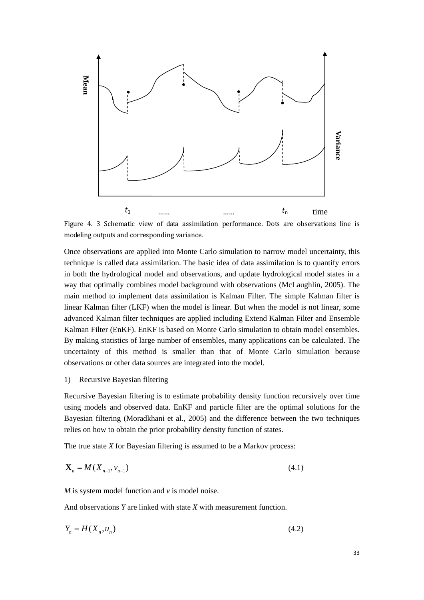

Figure 4. 3 Schematic view of data assimilation performance. Dots are observations line is modeling outputs and corresponding variance.

Once observations are applied into Monte Carlo simulation to narrow model uncertainty, this technique is called data assimilation. The basic idea of data assimilation is to quantify errors in both the hydrological model and observations, and update hydrological model states in a way that optimally combines model background with observations (McLaughlin, 2005). The main method to implement data assimilation is Kalman Filter. The simple Kalman filter is linear Kalman filter (LKF) when the model is linear. But when the model is not linear, some advanced Kalman filter techniques are applied including Extend Kalman Filter and Ensemble Kalman Filter (EnKF). EnKF is based on Monte Carlo simulation to obtain model ensembles. By making statistics of large number of ensembles, many applications can be calculated. The uncertainty of this method is smaller than that of Monte Carlo simulation because observations or other data sources are integrated into the model.

1) Recursive Bayesian filtering

Recursive Bayesian filtering is to estimate probability density function recursively over time using models and observed data. EnKF and particle filter are the optimal solutions for the Bayesian filtering (Moradkhani et al., 2005) and the difference between the two techniques relies on how to obtain the prior probability density function of states.

The true state *X* for Bayesian filtering is assumed to be a Markov process:

$$
\mathbf{X}_n = M(X_{n-1}, V_{n-1})
$$
\n(4.1)

*M* is system model function and *v* is model noise.

And observations *Y* are linked with state *X* with measurement function.

$$
Y_n = H(X_n, u_n) \tag{4.2}
$$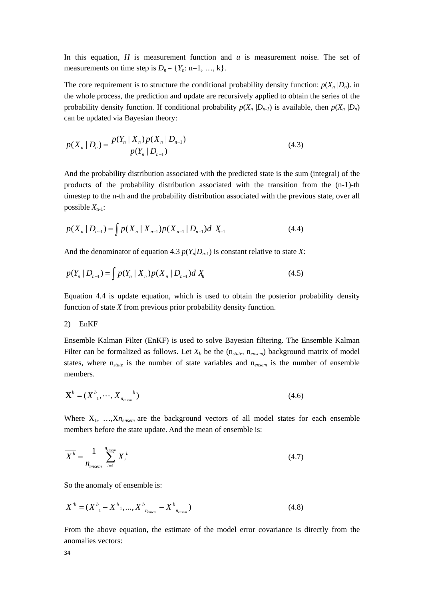In this equation, *H* is measurement function and *u* is measurement noise. The set of measurements on time step is  $D_n = \{Y_n: n=1, ..., k\}.$ 

The core requirement is to structure the conditional probability density function:  $p(X_n | D_n)$ . in the whole process, the prediction and update are recursively applied to obtain the series of the probability density function. If conditional probability  $p(X_n | D_{n-1})$  is available, then  $p(X_n | D_n)$ can be updated via Bayesian theory:

$$
p(X_n | D_n) = \frac{p(Y_n | X_n) p(X_n | D_{n-1})}{p(Y_n | D_{n-1})}
$$
\n(4.3)

And the probability distribution associated with the predicted state is the sum (integral) of the products of the probability distribution associated with the transition from the (n-1)-th timestep to the n-th and the probability distribution associated with the previous state, over all possible  $X_{n-1}$ :

$$
p(X_n | D_{n-1}) = \int p(X_n | X_{n-1}) p(X_{n-1} | D_{n-1}) d X_{n-1}
$$
\n(4.4)

And the denominator of equation 4.3  $p(Y_n|D_{n-1})$  is constant relative to state *X*:

$$
p(Y_n \mid D_{n-1}) = \int p(Y_n \mid X_n) p(X_n \mid D_{n-1}) dX_n \tag{4.5}
$$

Equation 4.4 is update equation, which is used to obtain the posterior probability density function of state *X* from previous prior probability density function.

#### 2) EnKF

Ensemble Kalman Filter (EnKF) is used to solve Bayesian filtering. The Ensemble Kalman Filter can be formalized as follows. Let  $X_b$  be the  $(n_{state}, n_{ensemble})$  background matrix of model states, where n*state* is the number of state variables and n*ensem* is the number of ensemble members.

$$
\mathbf{X}^b = (X^b_1, \cdots, X_{n_{\text{ensure}}})
$$
\n<sup>(4.6)</sup>

Where  $X_1$ , ...,  $X_n$ <sub>ensem</sub> are the background vectors of all model states for each ensemble members before the state update. And the mean of ensemble is:

$$
\overline{X^b} = \frac{1}{n_{\text{ensemble}}} \sum_{i=1}^{n_{\text{ensemble}}} X_i^b \tag{4.7}
$$

So the anomaly of ensemble is:

$$
X^{\prime b} = (X_{1}^{b} - \overline{X^{b}}_{1}, ..., X_{n_{\text{energy}}}^{b} - \overline{X^{b}}_{n_{\text{energy}}}^{b})
$$
(4.8)

From the above equation, the estimate of the model error covariance is directly from the anomalies vectors: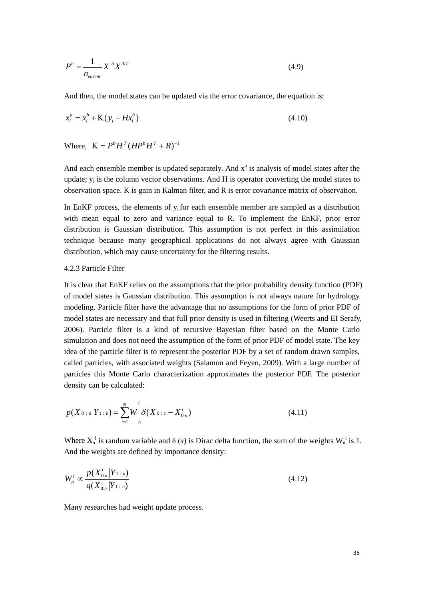$$
P^{b} = \frac{1}{n_{\text{ensemble}}} X^{\prime b} X^{\prime bT}
$$
 (4.9)

And then, the model states can be updated via the error covariance, the equation is:

$$
x_i^a = x_i^b + K(y_i - Hx_i^b)
$$
 (4.10)

Where,  $K = P^b H^T (H P^b H^T + R)^{-1}$ 

And each ensemble member is updated separately. And  $x<sup>a</sup>$  is analysis of model states after the update;  $y_i$  is the column vector observations. And H is operator converting the model states to observation space. K is gain in Kalman filter, and R is error covariance matrix of observation.

In EnKF process, the elements of  $y_i$  for each ensemble member are sampled as a distribution with mean equal to zero and variance equal to R. To implement the EnKF, prior error distribution is Gaussian distribution. This assumption is not perfect in this assimilation technique because many geographical applications do not always agree with Gaussian distribution, which may cause uncertainty for the filtering results.

#### <span id="page-34-0"></span>4.2.3 Particle Filter

It is clear that EnKF relies on the assumptions that the prior probability density function (PDF) of model states is Gaussian distribution. This assumption is not always nature for hydrology modeling. Particle filter have the advantage that no assumptions for the form of prior PDF of model states are necessary and that full prior density is used in filtering (Weerts and EI Serafy, 2006). Particle filter is a kind of recursive Bayesian filter based on the Monte Carlo simulation and does not need the assumption of the form of prior PDF of model state. The key idea of the particle filter is to represent the posterior PDF by a set of random drawn samples, called particles, with associated weights (Salamon and Feyen, 2009). With a large number of particles this Monte Carlo characterization approximates the posterior PDF. The posterior density can be calculated:

$$
p(X_{0:n}|Y_{1:n}) = \sum_{i=1}^{N} W \delta(X_{0:n} - X_{0:n}^{i})
$$
\n(4.11)

Where  $X_n^i$  is random variable and  $\delta(x)$  is Dirac delta function, the sum of the weights  $W_n^i$  is 1. And the weights are defined by importance density:

$$
W_n^i \propto \frac{p(X_{0:n}^i | Y_{1:n})}{q(X_{0:n}^i | Y_{1:n})}
$$
\n(4.12)

Many researches had weight update process.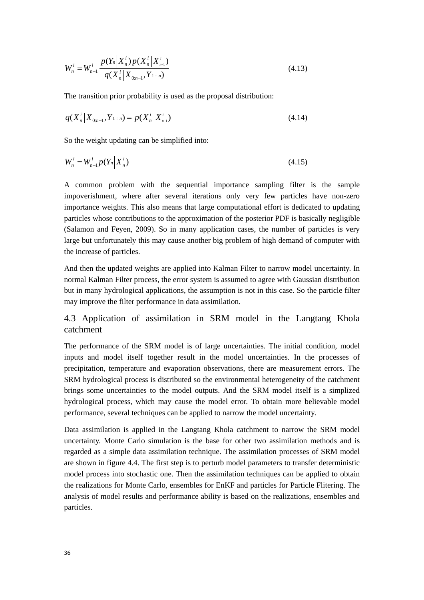$$
W_n^i = W_{n-1}^i \frac{p(Y_n \mid X_n^i) p(X_n^i \mid X_{n-1}^i)}{q(X_n^i \mid X_{0:n-1}, Y_{1:n})}
$$
(4.13)

The transition prior probability is used as the proposal distribution:

$$
q(X_n^i|X_{0:n-1}, Y_{1:n}) = p(X_n^i|X_{n-1}^i)
$$
\n(4.14)

So the weight updating can be simplified into:

$$
W_n^i = W_{n-1}^i p(Y_n | X_n^i)
$$
\n(4.15)

A common problem with the sequential importance sampling filter is the sample impoverishment, where after several iterations only very few particles have non-zero importance weights. This also means that large computational effort is dedicated to updating particles whose contributions to the approximation of the posterior PDF is basically negligible (Salamon and Feyen, 2009). So in many application cases, the number of particles is very large but unfortunately this may cause another big problem of high demand of computer with the increase of particles.

And then the updated weights are applied into Kalman Filter to narrow model uncertainty. In normal Kalman Filter process, the error system is assumed to agree with Gaussian distribution but in many hydrological applications, the assumption is not in this case. So the particle filter may improve the filter performance in data assimilation.

# <span id="page-35-0"></span>4.3 Application of assimilation in SRM model in the Langtang Khola catchment

The performance of the SRM model is of large uncertainties. The initial condition, model inputs and model itself together result in the model uncertainties. In the processes of precipitation, temperature and evaporation observations, there are measurement errors. The SRM hydrological process is distributed so the environmental heterogeneity of the catchment brings some uncertainties to the model outputs. And the SRM model itself is a simplized hydrological process, which may cause the model error. To obtain more believable model performance, several techniques can be applied to narrow the model uncertainty.

Data assimilation is applied in the Langtang Khola catchment to narrow the SRM model uncertainty. Monte Carlo simulation is the base for other two assimilation methods and is regarded as a simple data assimilation technique. The assimilation processes of SRM model are shown in figure 4.4. The first step is to perturb model parameters to transfer deterministic model process into stochastic one. Then the assimilation techniques can be applied to obtain the realizations for Monte Carlo, ensembles for EnKF and particles for Particle Flitering. The analysis of model results and performance ability is based on the realizations, ensembles and particles.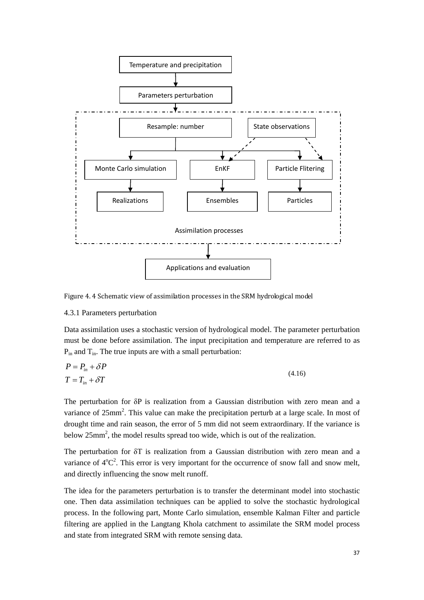

Figure 4. 4 Schematic view of assimilation processes in the SRM hydrological model

#### <span id="page-36-0"></span>4.3.1 Parameters perturbation

Data assimilation uses a stochastic version of hydrological model. The parameter perturbation must be done before assimilation. The input precipitation and temperature are referred to as  $P_{in}$  and  $T_{in}$ . The true inputs are with a small perturbation:

$$
P = P_{in} + \delta P
$$
  
\n
$$
T = T_{in} + \delta T
$$
\n(4.16)

The perturbation for δP is realization from a Gaussian distribution with zero mean and a variance of  $25mm^2$ . This value can make the precipitation perturb at a large scale. In most of drought time and rain season, the error of 5 mm did not seem extraordinary. If the variance is below 25mm<sup>2</sup>, the model results spread too wide, which is out of the realization.

The perturbation for δT is realization from a Gaussian distribution with zero mean and a variance of  $4^{\circ}C^2$ . This error is very important for the occurrence of snow fall and snow melt, and directly influencing the snow melt runoff.

The idea for the parameters perturbation is to transfer the determinant model into stochastic one. Then data assimilation techniques can be applied to solve the stochastic hydrological process. In the following part, Monte Carlo simulation, ensemble Kalman Filter and particle filtering are applied in the Langtang Khola catchment to assimilate the SRM model process and state from integrated SRM with remote sensing data.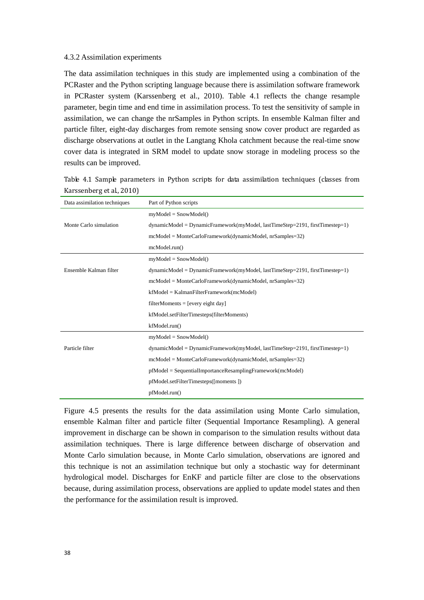#### <span id="page-37-0"></span>4.3.2 Assimilation experiments

The data assimilation techniques in this study are implemented using a combination of the PCRaster and the Python scripting language because there is assimilation software framework in PCRaster system (Karssenberg et al., 2010). Table 4.1 reflects the change resample parameter, begin time and end time in assimilation process. To test the sensitivity of sample in assimilation, we can change the nrSamples in Python scripts. In ensemble Kalman filter and particle filter, eight-day discharges from remote sensing snow cover product are regarded as discharge observations at outlet in the Langtang Khola catchment because the real-time snow cover data is integrated in SRM model to update snow storage in modeling process so the results can be improved.

| Data assimilation techniques | Part of Python scripts                                                         |
|------------------------------|--------------------------------------------------------------------------------|
|                              | $myModel = SnowModel()$                                                        |
| Monte Carlo simulation       | $dynamicModel = DynamicFramework(myModel, lastTimeStep=2191, firstTimestep=1)$ |
|                              | $meModel = Monte Carlo Framework(dynamic Model, nrSamples=32)$                 |
|                              | mcModel.run()                                                                  |
|                              | $myModel = SnowModel()$                                                        |
| Ensemble Kalman filter       | $dynamicModel = DynamicFramework(myModel, lastTimeStep=2191, firstTimestep=1)$ |
|                              | $mcModel = Monte Carlo Framework(dynamic Model, nrSamples=32)$                 |
|                              | $kfModel = KalmanFilterFramework(mcModel)$                                     |
|                              | $filterMoments = [every eight day]$                                            |
|                              | kfModel.setFilterTimesteps(filterMoments)                                      |
|                              | kfModel.run()                                                                  |
|                              | $myModel = SnowModel()$                                                        |
| Particle filter              | $dynamicModel = DynamicFramework(myModel, lastTimeStep=2191, firstTimestep=1)$ |
|                              | $meModel = Monte Carlo Framework(dynamic Model, nrSamples=32)$                 |
|                              | $pfModel = SequentialImportanceResamplingFramework(mcModel)$                   |
|                              | pfModel.setFilterTimesteps([moments])                                          |
|                              | pfModel.run()                                                                  |

Table 4.1 Sample parameters in Python scripts for data assimilation techniques (classes from Karssenberg et al., 2010)

Figure 4.5 presents the results for the data assimilation using Monte Carlo simulation, ensemble Kalman filter and particle filter (Sequential Importance Resampling). A general improvement in discharge can be shown in comparison to the simulation results without data assimilation techniques. There is large difference between discharge of observation and Monte Carlo simulation because, in Monte Carlo simulation, observations are ignored and this technique is not an assimilation technique but only a stochastic way for determinant hydrological model. Discharges for EnKF and particle filter are close to the observations because, during assimilation process, observations are applied to update model states and then the performance for the assimilation result is improved.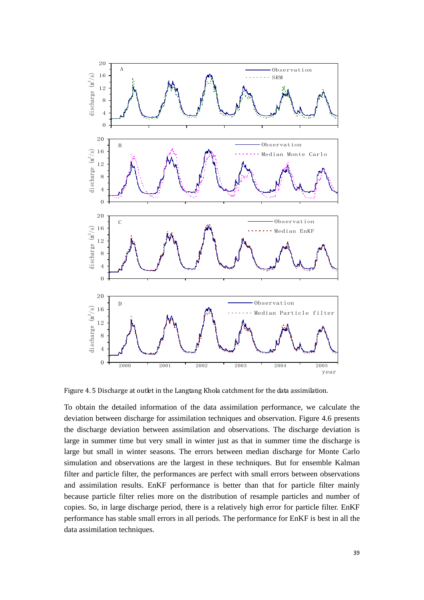

Figure 4. 5 Discharge at outlet in the Langtang Khola catchment for the data assimilation.

To obtain the detailed information of the data assimilation performance, we calculate the deviation between discharge for assimilation techniques and observation. Figure 4.6 presents the discharge deviation between assimilation and observations. The discharge deviation is large in summer time but very small in winter just as that in summer time the discharge is large but small in winter seasons. The errors between median discharge for Monte Carlo simulation and observations are the largest in these techniques. But for ensemble Kalman filter and particle filter, the performances are perfect with small errors between observations and assimilation results. EnKF performance is better than that for particle filter mainly because particle filter relies more on the distribution of resample particles and number of copies. So, in large discharge period, there is a relatively high error for particle filter. EnKF performance has stable small errors in all periods. The performance for EnKF is best in all the data assimilation techniques.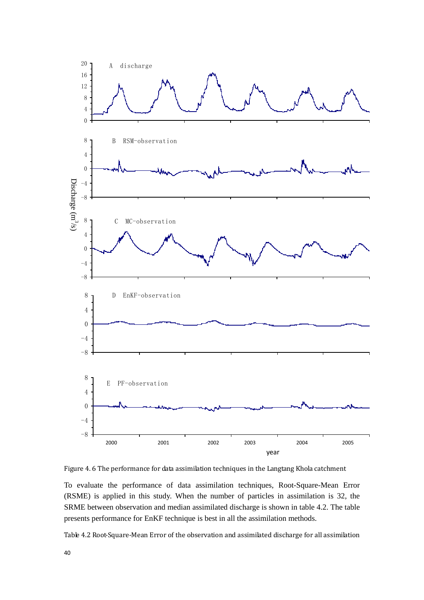

Figure 4. 6 The performance for data assimilation techniques in the Langtang Khola catchment

To evaluate the performance of data assimilation techniques, Root-Square-Mean Error (RSME) is applied in this study. When the number of particles in assimilation is 32, the SRME between observation and median assimilated discharge is shown in table 4.2. The table presents performance for EnKF technique is best in all the assimilation methods.

Table 4.2 Root-Square-Mean Error of the observation and assimilated discharge for all assimilation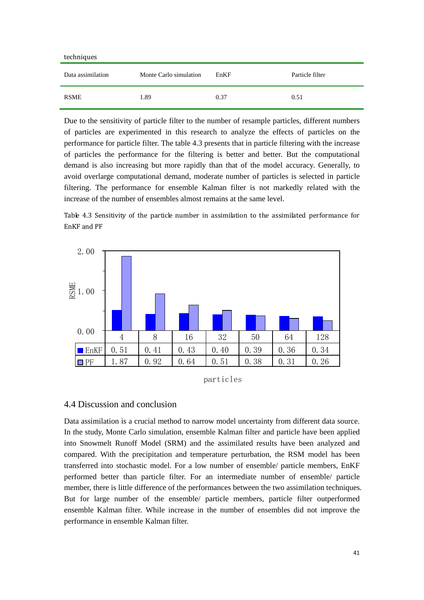| techniques                                  |      |      |                 |
|---------------------------------------------|------|------|-----------------|
| Data assimilation<br>Monte Carlo simulation |      | EnKF | Particle filter |
| <b>RSME</b>                                 | 1.89 | 0.37 | 0.51            |

Due to the sensitivity of particle filter to the number of resample particles, different numbers of particles are experimented in this research to analyze the effects of particles on the performance for particle filter. The table 4.3 presents that in particle filtering with the increase of particles the performance for the filtering is better and better. But the computational demand is also increasing but more rapidly than that of the model accuracy. Generally, to avoid overlarge computational demand, moderate number of particles is selected in particle filtering. The performance for ensemble Kalman filter is not markedly related with the increase of the number of ensembles almost remains at the same level.

Table 4.3 Sensitivity of the particle number in assimilation to the assimilated performance for EnKF and PF





# <span id="page-40-0"></span>4.4 Discussion and conclusion

Data assimilation is a crucial method to narrow model uncertainty from different data source. In the study, Monte Carlo simulation, ensemble Kalman filter and particle have been applied into Snowmelt Runoff Model (SRM) and the assimilated results have been analyzed and compared. With the precipitation and temperature perturbation, the RSM model has been transferred into stochastic model. For a low number of ensemble/ particle members, EnKF performed better than particle filter. For an intermediate number of ensemble/ particle member, there is little difference of the performances between the two assimilation techniques. But for large number of the ensemble/ particle members, particle filter outperformed ensemble Kalman filter. While increase in the number of ensembles did not improve the performance in ensemble Kalman filter.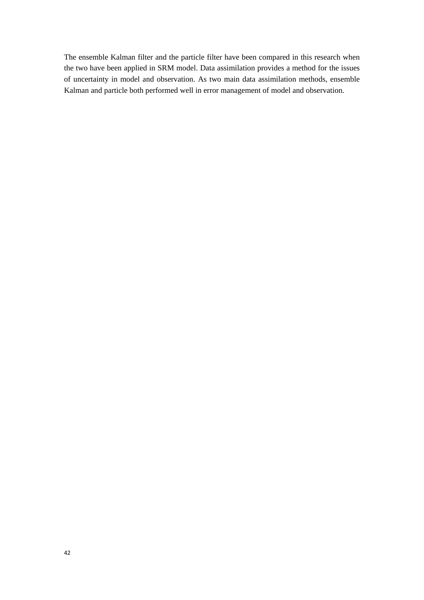The ensemble Kalman filter and the particle filter have been compared in this research when the two have been applied in SRM model. Data assimilation provides a method for the issues of uncertainty in model and observation. As two main data assimilation methods, ensemble Kalman and particle both performed well in error management of model and observation.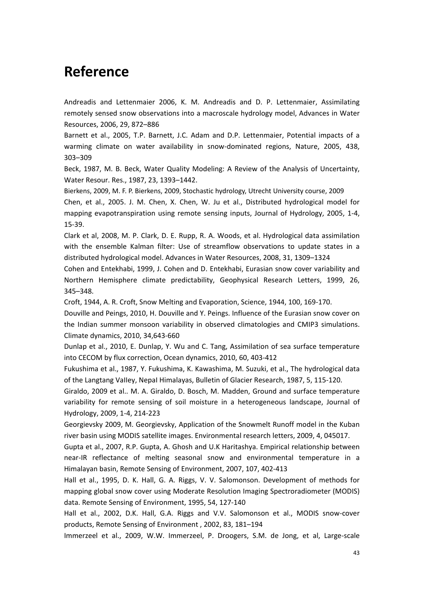# <span id="page-42-0"></span>**Reference**

Andreadis and Lettenmaier 2006, K. M. Andreadis and D. P. Lettenmaier, Assimilating remotely sensed snow observations into a macroscale hydrology model, Advances in Water Resources, 2006, 29, 872–886

Barnett et al., 2005, T.P. Barnett, J.C. Adam and D.P. Lettenmaier, Potential impacts of a warming climate on water availability in snow-dominated regions, Nature, 2005, 438, 303–309

Beck, 1987, M. B. Beck, Water Quality Modeling: A Review of the Analysis of Uncertainty, Water Resour. Res., 1987, 23, 1393–1442.

Bierkens, 2009, M. F. P. Bierkens, 2009, Stochastic hydrology, Utrecht University course, 2009

Chen, et al., 2005. J. M. Chen, X. Chen, W. Ju et al., Distributed hydrological model for mapping evapotranspiration using remote sensing inputs, Journal of Hydrology, 2005, 1-4, 15-39.

Clark et al, 2008, M. P. Clark, D. E. Rupp, R. A. Woods, et al. Hydrological data assimilation with the ensemble Kalman filter: Use of streamflow observations to update states in a distributed hydrological model. Advances in Water Resources, 2008, 31, 1309–1324

Cohen and Entekhabi, 1999, J. Cohen and D. Entekhabi, Eurasian snow cover variability and Northern Hemisphere climate predictability, Geophysical Research Letters, 1999, 26, 345–348.

Croft, 1944, A. R. Croft, Snow Melting and Evaporation, Science, 1944, 100, 169-170.

Douville and Peings, 2010, H. Douville and Y. Peings. Influence of the Eurasian snow cover on the Indian summer monsoon variability in observed climatologies and CMIP3 simulations. Climate dynamics, 2010, 34,643-660

Dunlap et al., 2010, E. Dunlap, Y. Wu and C. Tang, Assimilation of sea surface temperature into CECOM by flux correction, Ocean dynamics, 2010, 60, 403-412

Fukushima et al., 1987, Y. Fukushima, K. Kawashima, M. Suzuki, et al., The hydrological data of the Langtang VaIIey, NepaI Himalayas, Bulletin of Glacier Research, 1987, 5, 115-120.

Giraldo, 2009 et al.. M. A. Giraldo, D. Bosch, M. Madden, Ground and surface temperature variability for remote sensing of soil moisture in a heterogeneous landscape, Journal of Hydrology, 2009, 1-4, 214-223

Georgievsky 2009, M. Georgievsky, Application of the Snowmelt Runoff model in the Kuban river basin using MODIS satellite images. Environmental research letters, 2009, 4, 045017.

Gupta et al., 2007, R.P. Gupta, A. Ghosh and U.K Haritashya. Empirical relationship between near-IR reflectance of melting seasonal snow and environmental temperature in a Himalayan basin, Remote Sensing of Environment, 2007, 107, 402-413

Hall et al., 1995, D. K. Hall, G. A. Riggs, V. V. Salomonson. Development of methods for mapping global snow cover using Moderate Resolution Imaging Spectroradiometer (MODIS) data. Remote Sensing of Environment, 1995, 54, 127-140

Hall et al., 2002, D.K. Hall, G.A. Riggs and V.V. Salomonson et al., MODIS snow-cover products, Remote Sensing of Environment , 2002, 83, 181–194

Immerzeel et al., 2009, W.W. Immerzeel, P. Droogers, S.M. de Jong, et al, Large-scale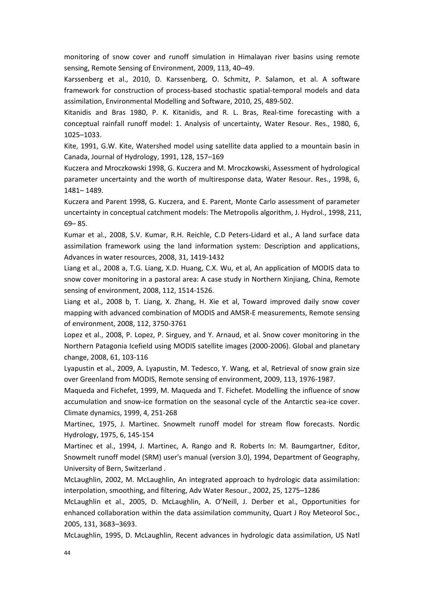monitoring of snow cover and runoff simulation in Himalayan river basins using remote sensing, Remote Sensing of Environment, 2009, 113, 40–49.

Karssenberg et al., 2010, D. Karssenberg, O. Schmitz, P. Salamon, et al. A software framework for construction of process-based stochastic spatial-temporal models and data assimilation, Environmental Modelling and Software, 2010, 25, 489-502.

Kitanidis and Bras 1980, P. K. Kitanidis, and R. L. Bras, Real-time forecasting with a conceptual rainfall runoff model: 1. Analysis of uncertainty, Water Resour. Res., 1980, 6, 1025–1033.

Kite, 1991, G.W. Kite, Watershed model using satellite data applied to a mountain basin in Canada, Journal of Hydrology, 1991, 128, 157–169

Kuczera and Mroczkowski 1998, G. Kuczera and M. Mroczkowski, Assessment of hydrological parameter uncertainty and the worth of multiresponse data, Water Resour. Res., 1998, 6, 1481– 1489.

Kuczera and Parent 1998, G. Kuczera, and E. Parent, Monte Carlo assessment of parameter uncertainty in conceptual catchment models: The Metropolis algorithm, J. Hydrol., 1998, 211, 69– 85.

Kumar et al., 2008, S.V. Kumar, R.H. Reichle, C.D Peters-Lidard et al., A land surface data assimilation framework using the land information system: Description and applications, Advances in water resources, 2008, 31, 1419-1432

Liang et al., 2008 a, T.G. Liang, X.D. Huang, C.X. Wu, et al, An application of MODIS data to snow cover monitoring in a pastoral area: A case study in Northern Xinjiang, China, Remote sensing of environment, 2008, 112, 1514-1526.

Liang et al., 2008 b, T. Liang, X. Zhang, H. Xie et al, Toward improved daily snow cover mapping with advanced combination of MODIS and AMSR-E measurements, Remote sensing of environment, 2008, 112, 3750-3761

Lopez et al., 2008, P. Lopez, P. Sirguey, and Y. Arnaud, et al. Snow cover monitoring in the Northern Patagonia Icefield using MODIS satellite images (2000-2006). Global and planetary change, 2008, 61, 103-116

Lyapustin et al., 2009, A. Lyapustin, M. Tedesco, Y. Wang, et al, Retrieval of snow grain size over Greenland from MODIS, Remote sensing of environment, 2009, 113, 1976-1987.

Maqueda and Fichefet, 1999, M. Maqueda and T. Fichefet. Modelling the influence of snow accumulation and snow-ice formation on the seasonal cycle of the Antarctic sea-ice cover. Climate dynamics, 1999, 4, 251-268

Martinec, 1975, J. Martinec. Snowmelt runoff model for stream flow forecasts. Nordic Hydrology, 1975, 6, 145-154

Martinec et al., 1994, J. Martinec, A. Rango and R. Roberts In: M. Baumgartner, Editor, Snowmelt runoff model (SRM) user's manual (version 3.0), 1994, Department of Geography, University of Bern, Switzerland .

McLaughlin, 2002, M. McLaughlin, An integrated approach to hydrologic data assimilation: interpolation, smoothing, and filtering, Adv Water Resour., 2002, 25, 1275–1286

McLaughlin et al., 2005, D. McLaughlin, A. O'Neill, J. Derber et al., Opportunities for enhanced collaboration within the data assimilation community, Quart J Roy Meteorol Soc., 2005, 131, 3683–3693.

McLaughlin, 1995, D. McLaughlin, Recent advances in hydrologic data assimilation, US Natl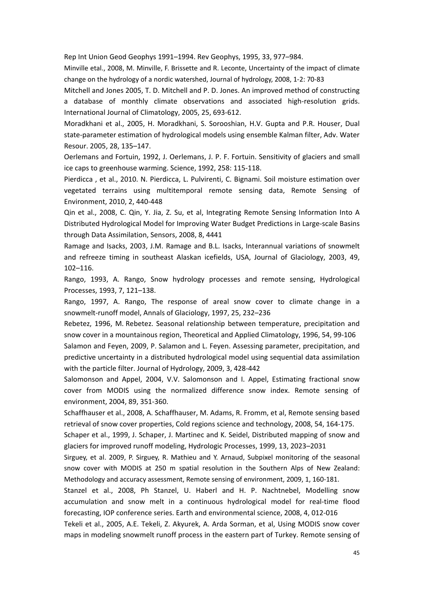Rep Int Union Geod Geophys 1991–1994. Rev Geophys, 1995, 33, 977–984.

Minville etal., 2008, M. Minville, F. Brissette and R. Leconte, Uncertainty of the impact of climate change on the hydrology of a nordic watershed, Journal of hydrology, 2008, 1-2: 70-83

Mitchell and Jones 2005, T. D. Mitchell and P. D. Jones. An improved method of constructing a database of monthly climate observations and associated high-resolution grids. International Journal of Climatology, 2005, 25, 693-612.

Moradkhani et al., 2005, H. Moradkhani, S. Sorooshian, H.V. Gupta and P.R. Houser, Dual state-parameter estimation of hydrological models using ensemble Kalman filter, Adv. Water Resour. 2005, 28, 135–147.

Oerlemans and Fortuin, 1992, J. Oerlemans, J. P. F. Fortuin. Sensitivity of glaciers and small ice caps to greenhouse warming. Science, 1992, 258: 115-118.

Pierdicca , et al., 2010. N. Pierdicca, L. Pulvirenti, C. Bignami. Soil moisture estimation over vegetated terrains using multitemporal remote sensing data, Remote Sensing of Environment, 2010, 2, 440-448

Qin et al., 2008, C. Qin, Y. Jia, Z. Su, et al, Integrating Remote Sensing Information Into A Distributed Hydrological Model for Improving Water Budget Predictions in Large-scale Basins through Data Assimilation, Sensors, 2008, 8, 4441

Ramage and Isacks, 2003, J.M. Ramage and B.L. Isacks, Interannual variations of snowmelt and refreeze timing in southeast Alaskan icefields, USA, Journal of Glaciology, 2003, 49, 102–116.

Rango, 1993, A. Rango, Snow hydrology processes and remote sensing, Hydrological Processes, 1993, 7, 121–138.

Rango, 1997, A. Rango, The response of areal snow cover to climate change in a snowmelt-runoff model, Annals of Glaciology, 1997, 25, 232–236

Rebetez, 1996, M. Rebetez. Seasonal relationship between temperature, precipitation and snow cover in a mountainous region, Theoretical and Applied Climatology, 1996, 54, 99-106 Salamon and Feyen, 2009, P. Salamon and L. Feyen. Assessing parameter, precipitation, and predictive uncertainty in a distributed hydrological model using sequential data assimilation with the particle filter. Journal of Hydrology, 2009, 3, 428-442

Salomonson and Appel, 2004, V.V. Salomonson and I. Appel, Estimating fractional snow cover from MODIS using the normalized difference snow index. Remote sensing of environment, 2004, 89, 351-360.

Schaffhauser et al., 2008, A. Schaffhauser, M. Adams, R. Fromm, et al, Remote sensing based retrieval of snow cover properties, Cold regions science and technology, 2008, 54, 164-175.

Schaper et al., 1999, J. Schaper, J. Martinec and K. Seidel, Distributed mapping of snow and glaciers for improved runoff modeling, Hydrologic Processes, 1999, 13, 2023–2031

Sirguey, et al. 2009, P. Sirguey, R. Mathieu and Y. Arnaud, Subpixel monitoring of the seasonal snow cover with MODIS at 250 m spatial resolution in the Southern Alps of New Zealand: Methodology and accuracy assessment, Remote sensing of environment, 2009, 1, 160-181.

Stanzel et al., 2008, Ph Stanzel, U. Haberl and H. P. Nachtnebel, Modelling snow accumulation and snow melt in a continuous hydrological model for real-time flood forecasting, IOP conference series. Earth and environmental science, 2008, 4, 012-016

Tekeli et al., 2005, A.E. Tekeli, Z. Akyurek, A. Arda Sorman, et al, Using MODIS snow cover maps in modeling snowmelt runoff process in the eastern part of Turkey. Remote sensing of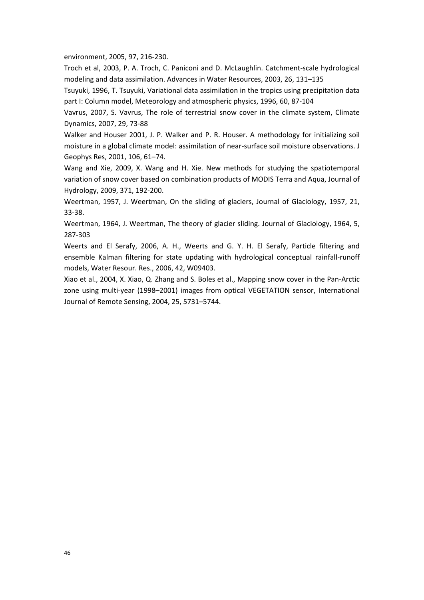environment, 2005, 97, 216-230.

Troch et al, 2003, P. A. Troch, C. Paniconi and D. McLaughlin. Catchment-scale hydrological modeling and data assimilation. Advances in Water Resources, 2003, 26, 131–135

Tsuyuki, 1996, T. Tsuyuki, Variational data assimilation in the tropics using precipitation data part I: Column model, Meteorology and atmospheric physics, 1996, 60, 87-104

Vavrus, 2007, S. Vavrus, The role of terrestrial snow cover in the climate system, Climate Dynamics, 2007, 29, 73-88

Walker and Houser 2001, J. P. Walker and P. R. Houser. A methodology for initializing soil moisture in a global climate model: assimilation of near-surface soil moisture observations. J Geophys Res, 2001, 106, 61–74.

Wang and Xie, 2009, X. Wang and H. Xie. New methods for studying the spatiotemporal variation of snow cover based on combination products of MODIS Terra and Aqua, Journal of Hydrology, 2009, 371, 192-200.

Weertman, 1957, J. Weertman, On the sliding of glaciers, Journal of Glaciology, 1957, 21, 33-38.

Weertman, 1964, J. Weertman, The theory of glacier sliding. Journal of Glaciology, 1964, 5, 287-303

Weerts and El Serafy, 2006, A. H., Weerts and G. Y. H. El Serafy, Particle filtering and ensemble Kalman filtering for state updating with hydrological conceptual rainfall-runoff models, Water Resour. Res., 2006, 42, W09403.

Xiao et al., 2004, X. Xiao, Q. Zhang and S. Boles et al., Mapping snow cover in the Pan-Arctic zone using multi-year (1998–2001) images from optical VEGETATION sensor, International Journal of Remote Sensing, 2004, 25, 5731–5744.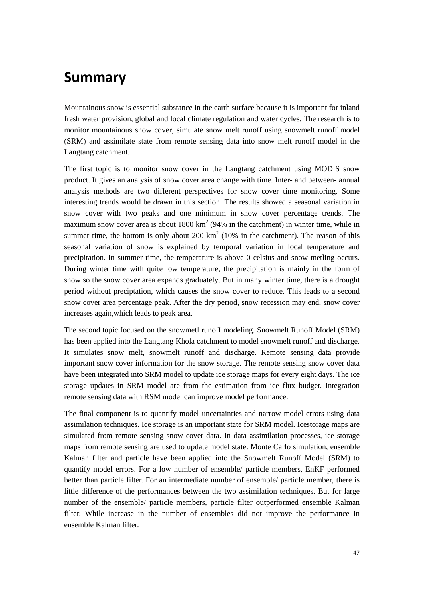# <span id="page-46-0"></span>**Summary**

Mountainous snow is essential substance in the earth surface because it is important for inland fresh water provision, global and local climate regulation and water cycles. The research is to monitor mountainous snow cover, simulate snow melt runoff using snowmelt runoff model (SRM) and assimilate state from remote sensing data into snow melt runoff model in the Langtang catchment.

The first topic is to monitor snow cover in the Langtang catchment using MODIS snow product. It gives an analysis of snow cover area change with time. Inter- and between- annual analysis methods are two different perspectives for snow cover time monitoring. Some interesting trends would be drawn in this section. The results showed a seasonal variation in snow cover with two peaks and one minimum in snow cover percentage trends. The maximum snow cover area is about  $1800 \text{ km}^2$  (94% in the catchment) in winter time, while in summer time, the bottom is only about 200  $km^2$  (10% in the catchment). The reason of this seasonal variation of snow is explained by temporal variation in local temperature and precipitation. In summer time, the temperature is above 0 celsius and snow metling occurs. During winter time with quite low temperature, the precipitation is mainly in the form of snow so the snow cover area expands graduately. But in many winter time, there is a drought period without preciptation, which causes the snow cover to reduce. This leads to a second snow cover area percentage peak. After the dry period, snow recession may end, snow cover increases again,which leads to peak area.

The second topic focused on the snowmetl runoff modeling. Snowmelt Runoff Model (SRM) has been applied into the Langtang Khola catchment to model snowmelt runoff and discharge. It simulates snow melt, snowmelt runoff and discharge. Remote sensing data provide important snow cover information for the snow storage. The remote sensing snow cover data have been integrated into SRM model to update ice storage maps for every eight days. The ice storage updates in SRM model are from the estimation from ice flux budget. Integration remote sensing data with RSM model can improve model performance.

The final component is to quantify model uncertainties and narrow model errors using data assimilation techniques. Ice storage is an important state for SRM model. Icestorage maps are simulated from remote sensing snow cover data. In data assimilation processes, ice storage maps from remote sensing are used to update model state. Monte Carlo simulation, ensemble Kalman filter and particle have been applied into the Snowmelt Runoff Model (SRM) to quantify model errors. For a low number of ensemble/ particle members, EnKF performed better than particle filter. For an intermediate number of ensemble/ particle member, there is little difference of the performances between the two assimilation techniques. But for large number of the ensemble/ particle members, particle filter outperformed ensemble Kalman filter. While increase in the number of ensembles did not improve the performance in ensemble Kalman filter.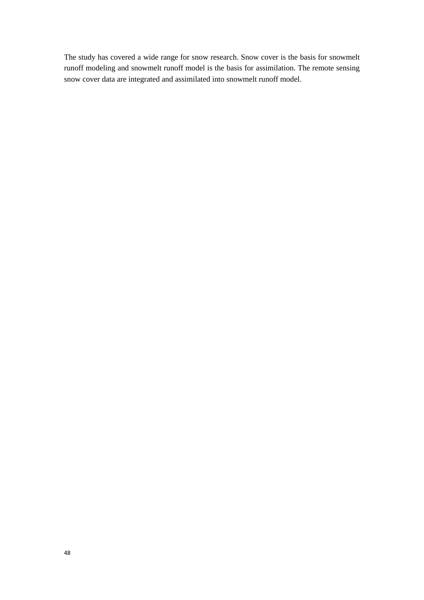The study has covered a wide range for snow research. Snow cover is the basis for snowmelt runoff modeling and snowmelt runoff model is the basis for assimilation. The remote sensing snow cover data are integrated and assimilated into snowmelt runoff model.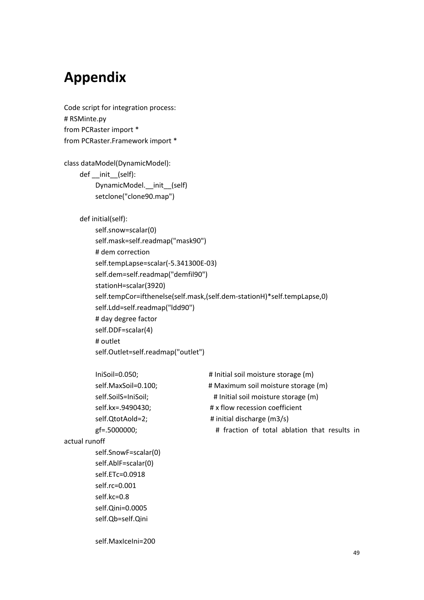# <span id="page-48-0"></span>**Appendix**

Code script for integration process: # RSMinte.py from PCRaster import \* from PCRaster.Framework import \*

class dataModel(DynamicModel):

 def \_\_init\_\_(self): DynamicModel. init (self)

setclone("clone90.map")

def initial(self):

 self.snow=scalar(0) self.mask=self.readmap("mask90") # dem correction self.tempLapse=scalar(-5.341300E-03) self.dem=self.readmap("demfil90") stationH=scalar(3920) self.tempCor=ifthenelse(self.mask,(self.dem-stationH)\*self.tempLapse,0) self.Ldd=self.readmap("ldd90") # day degree factor self.DDF=scalar(4) # outlet self.Outlet=self.readmap("outlet")

| IniSoil= $0.050$ ;   | # Initial soil moisture storage (m)                                   |  |
|----------------------|-----------------------------------------------------------------------|--|
| self.MaxSoil=0.100;  | # Maximum soil moisture storage (m)                                   |  |
| self.SoilS=IniSoil;  | # Initial soil moisture storage (m)<br># x flow recession coefficient |  |
| self.kx=.9490430;    |                                                                       |  |
| self.QtotAold=2;     | # initial discharge (m3/s)                                            |  |
| gf=.5000000;         | # fraction of total ablation that results in                          |  |
| actual runoff        |                                                                       |  |
| self.SnowF=scalar(0) |                                                                       |  |
| self.AblF=scalar(0)  |                                                                       |  |
| self.ETc=0.0918      |                                                                       |  |
| self.rc=0.001        |                                                                       |  |
| self.kc=0.8          |                                                                       |  |
| self.Qini=0.0005     |                                                                       |  |
| self.Qb=self.Qini    |                                                                       |  |
|                      |                                                                       |  |
| self.MaxIceIni=200   |                                                                       |  |
|                      |                                                                       |  |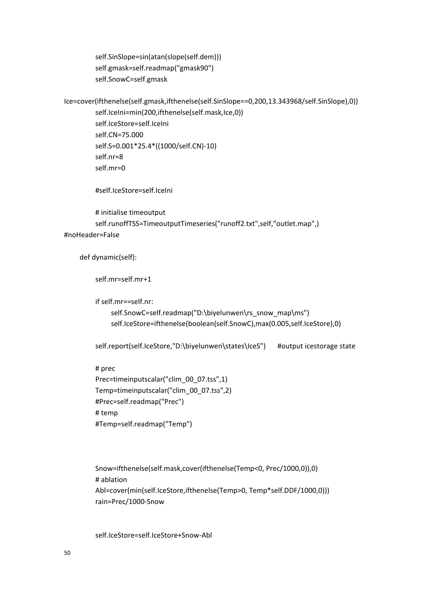self.SinSlope=sin(atan(slope(self.dem))) self.gmask=self.readmap("gmask90") self.SnowC=self.gmask

```
Ice=cover(ifthenelse(self.gmask,ifthenelse(self.SinSlope==0,200,13.343968/self.SinSlope),0))
          self.IceIni=min(200,ifthenelse(self.mask,Ice,0))
           self.IceStore=self.IceIni
           self.CN=75.000
           self.S=0.001*25.4*((1000/self.CN)-10)
           self.nr=8
           self.mr=0
```
#self.IceStore=self.IceIni

```
 # initialise timeoutput
          self.runoffTSS=TimeoutputTimeseries("runoff2.txt",self,"outlet.map",) 
#noHeader=False
```
def dynamic(self):

self.mr=self.mr+1

if self.mr==self.nr:

```
self.SnowC=self.readmap("D:\biyelunwen\rs_snow_map\ms")
 self.IceStore=ifthenelse(boolean(self.SnowC),max(0.005,self.IceStore),0)
```
self.report(self.IceStore,"D:\biyelunwen\states\IceS") #output icestorage state

```
 # prec
 Prec=timeinputscalar("clim_00_07.tss",1)
 Temp=timeinputscalar("clim_00_07.tss",2)
 #Prec=self.readmap("Prec") 
 # temp
 #Temp=self.readmap("Temp")
```

```
 Snow=ifthenelse(self.mask,cover(ifthenelse(Temp<0, Prec/1000,0)),0)
 # ablation
 Abl=cover(min(self.IceStore,ifthenelse(Temp>0, Temp*self.DDF/1000,0)))
 rain=Prec/1000-Snow
```
self.IceStore=self.IceStore+Snow-Abl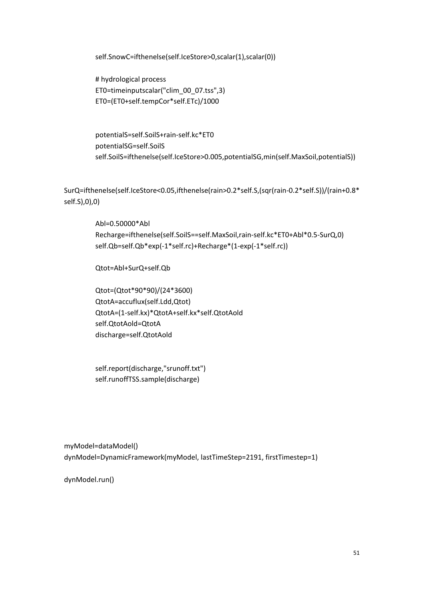self.SnowC=ifthenelse(self.IceStore>0,scalar(1),scalar(0))

 # hydrological process ET0=timeinputscalar("clim\_00\_07.tss",3) ET0=(ET0+self.tempCor\*self.ETc)/1000

 potentialS=self.SoilS+rain-self.kc\*ET0 potentialSG=self.SoilS self.SoilS=ifthenelse(self.IceStore>0.005,potentialSG,min(self.MaxSoil,potentialS))

SurQ=ifthenelse(self.IceStore<0.05,ifthenelse(rain>0.2\*self.S,(sqr(rain-0.2\*self.S))/(rain+0.8\* self.S),0),0)

> Abl=0.50000\*Abl Recharge=ifthenelse(self.SoilS==self.MaxSoil,rain-self.kc\*ET0+Abl\*0.5-SurQ,0) self.Qb=self.Qb\*exp(-1\*self.rc)+Recharge\*(1-exp(-1\*self.rc))

Qtot=Abl+SurQ+self.Qb

 Qtot=(Qtot\*90\*90)/(24\*3600) QtotA=accuflux(self.Ldd,Qtot) QtotA=(1-self.kx)\*QtotA+self.kx\*self.QtotAold self.QtotAold=QtotA discharge=self.QtotAold

 self.report(discharge,"srunoff.txt") self.runoffTSS.sample(discharge)

myModel=dataModel() dynModel=DynamicFramework(myModel, lastTimeStep=2191, firstTimestep=1)

dynModel.run()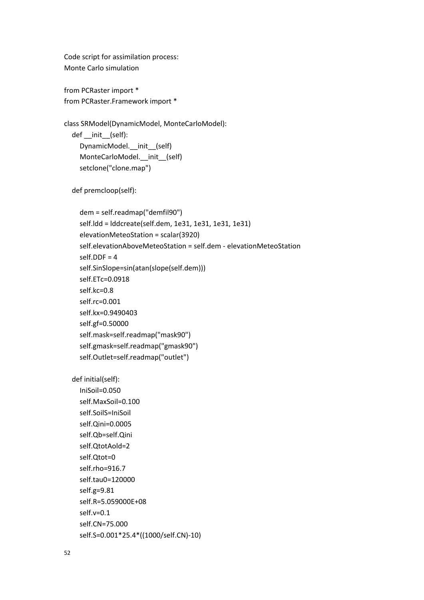Code script for assimilation process: Monte Carlo simulation

from PCRaster import \* from PCRaster.Framework import \*

class SRModel(DynamicModel, MonteCarloModel): def \_\_init\_\_(self): DynamicModel. init (self) MonteCarloModel.\_\_init\_\_(self) setclone("clone.map")

def premcloop(self):

 dem = self.readmap("demfil90") self.ldd = lddcreate(self.dem, 1e31, 1e31, 1e31, 1e31) elevationMeteoStation = scalar(3920) self.elevationAboveMeteoStation = self.dem - elevationMeteoStation self.DDF = 4 self.SinSlope=sin(atan(slope(self.dem))) self.ETc=0.0918 self.kc=0.8 self.rc=0.001 self.kx=0.9490403 self.gf=0.50000 self.mask=self.readmap("mask90") self.gmask=self.readmap("gmask90") self.Outlet=self.readmap("outlet")

def initial(self):

 IniSoil=0.050 self.MaxSoil=0.100 self.SoilS=IniSoil self.Qini=0.0005 self.Qb=self.Qini self.QtotAold=2 self.Qtot=0 self.rho=916.7 self.tau0=120000 self.g=9.81 self.R=5.059000E+08 self.v=0.1 self.CN=75.000 self.S=0.001\*25.4\*((1000/self.CN)-10)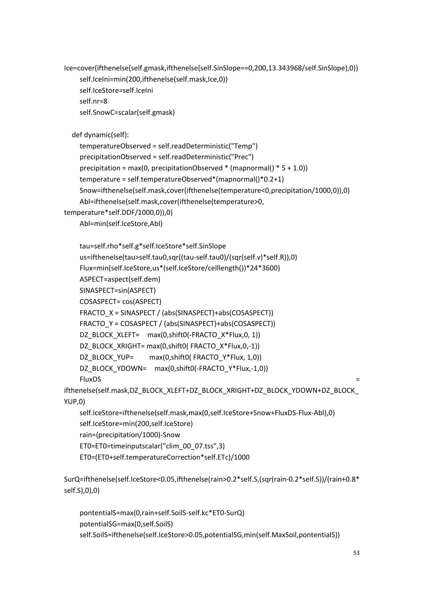```
Ice=cover(ifthenelse(self.gmask,ifthenelse(self.SinSlope==0,200,13.343968/self.SinSlope),0))
    self.IceIni=min(200,ifthenelse(self.mask,Ice,0))
     self.IceStore=self.IceIni
     self.nr=8
     self.SnowC=scalar(self.gmask)
   def dynamic(self):
     temperatureObserved = self.readDeterministic("Temp")
     precipitationObserved = self.readDeterministic("Prec")
    precipitation = max(0, precipitationObserved * (mapnormal() * 5 + 1.0))
     temperature = self.temperatureObserved*(mapnormal()*0.2+1)
     Snow=ifthenelse(self.mask,cover(ifthenelse(temperature<0,precipitation/1000,0)),0)
     Abl=ifthenelse(self.mask,cover(ifthenelse(temperature>0, 
temperature*self.DDF/1000,0)),0)
     Abl=min(self.IceStore,Abl)
     tau=self.rho*self.g*self.IceStore*self.SinSlope
     us=ifthenelse(tau>self.tau0,sqr((tau-self.tau0)/(sqr(self.v)*self.R)),0)
     Flux=min(self.IceStore,us*(self.IceStore/celllength())*24*3600)
     ASPECT=aspect(self.dem)
     SINASPECT=sin(ASPECT)
     COSASPECT= cos(ASPECT)
     FRACTO_X = SINASPECT / (abs(SINASPECT)+abs(COSASPECT))
     FRACTO_Y = COSASPECT / (abs(SINASPECT)+abs(COSASPECT))
    DZ_BLOCK_XLEFT= max(0,shift0(-FRACTO_X*Flux,0, 1))
     DZ_BLOCK_XRIGHT= max(0,shift0( FRACTO_X*Flux,0,-1))
    DZ_BLOCK_YUP= max(0,shift0( FRACTO_Y*Flux, 1,0))
     DZ_BLOCK_YDOWN= max(0,shift0(-FRACTO_Y*Flux,-1,0))
FluxDS =ifthenelse(self.mask,DZ_BLOCK_XLEFT+DZ_BLOCK_XRIGHT+DZ_BLOCK_YDOWN+DZ_BLOCK_
YUP,0)
     self.IceStore=ifthenelse(self.mask,max(0,self.IceStore+Snow+FluxDS-Flux-Abl),0)
     self.IceStore=min(200,self.IceStore)
     rain=(precipitation/1000)-Snow
     ET0=ET0=timeinputscalar("clim_00_07.tss",3)
     ET0=(ET0+self.temperatureCorrection*self.ETc)/1000
SurQ=ifthenelse(self.IceStore<0.05,ifthenelse(rain>0.2*self.S,(sqr(rain-0.2*self.S))/(rain+0.8*
self.S),0),0)
```
 pontentialS=max(0,rain+self.SoilS-self.kc\*ET0-SurQ) potentialSG=max(0,self.SoilS) self.SoilS=ifthenelse(self.IceStore>0.05,potentialSG,min(self.MaxSoil,pontentialS))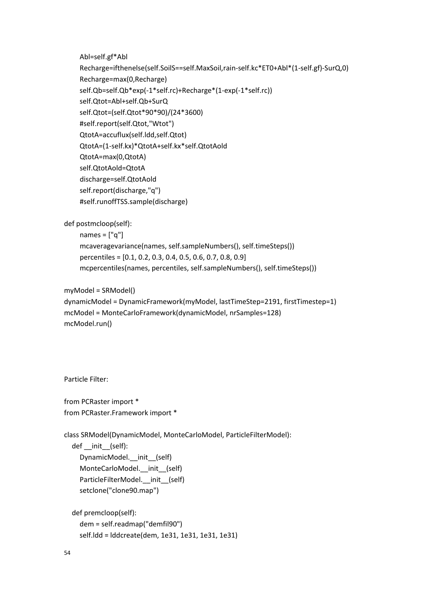Abl=self.gf\*Abl

 Recharge=ifthenelse(self.SoilS==self.MaxSoil,rain-self.kc\*ET0+Abl\*(1-self.gf)-SurQ,0) Recharge=max(0,Recharge) self.Qb=self.Qb\*exp(-1\*self.rc)+Recharge\*(1-exp(-1\*self.rc)) self.Qtot=Abl+self.Qb+SurQ self.Qtot=(self.Qtot\*90\*90)/(24\*3600) #self.report(self.Qtot,"Wtot") QtotA=accuflux(self.ldd,self.Qtot) QtotA=(1-self.kx)\*QtotA+self.kx\*self.QtotAold QtotA=max(0,QtotA) self.QtotAold=QtotA discharge=self.QtotAold self.report(discharge,"q") #self.runoffTSS.sample(discharge)

def postmcloop(self):

names  $=$  ["q"] mcaveragevariance(names, self.sampleNumbers(), self.timeSteps()) percentiles = [0.1, 0.2, 0.3, 0.4, 0.5, 0.6, 0.7, 0.8, 0.9] mcpercentiles(names, percentiles, self.sampleNumbers(), self.timeSteps())

myModel = SRModel()

```
dynamicModel = DynamicFramework(myModel, lastTimeStep=2191, firstTimestep=1)
mcModel = MonteCarloFramework(dynamicModel, nrSamples=128)
mcModel.run()
```
Particle Filter:

from PCRaster import \* from PCRaster.Framework import \*

class SRModel(DynamicModel, MonteCarloModel, ParticleFilterModel): def init (self): DynamicModel. init (self) MonteCarloModel.\_\_init\_\_(self) ParticleFilterModel. init (self) setclone("clone90.map")

 def premcloop(self): dem = self.readmap("demfil90") self.ldd = lddcreate(dem, 1e31, 1e31, 1e31, 1e31)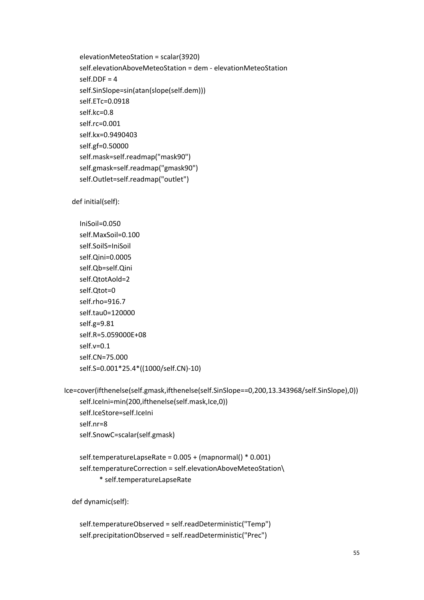elevationMeteoStation = scalar(3920) self.elevationAboveMeteoStation = dem - elevationMeteoStation self.DDF = 4 self.SinSlope=sin(atan(slope(self.dem))) self.ETc=0.0918 self.kc=0.8 self.rc=0.001 self.kx=0.9490403 self.gf=0.50000 self.mask=self.readmap("mask90") self.gmask=self.readmap("gmask90") self.Outlet=self.readmap("outlet")

def initial(self):

 IniSoil=0.050 self.MaxSoil=0.100 self.SoilS=IniSoil self.Qini=0.0005 self.Qb=self.Qini self.QtotAold=2 self.Qtot=0 self.rho=916.7 self.tau0=120000 self.g=9.81 self.R=5.059000E+08 self.v=0.1 self.CN=75.000 self.S=0.001\*25.4\*((1000/self.CN)-10)

Ice=cover(ifthenelse(self.gmask,ifthenelse(self.SinSlope==0,200,13.343968/self.SinSlope),0)) self.IceIni=min(200,ifthenelse(self.mask,Ice,0)) self.IceStore=self.IceIni self.nr=8 self.SnowC=scalar(self.gmask)

```
 self.temperatureLapseRate = 0.005 + (mapnormal() * 0.001)
 self.temperatureCorrection = self.elevationAboveMeteoStation\
       * self.temperatureLapseRate
```
def dynamic(self):

```
 self.temperatureObserved = self.readDeterministic("Temp")
 self.precipitationObserved = self.readDeterministic("Prec")
```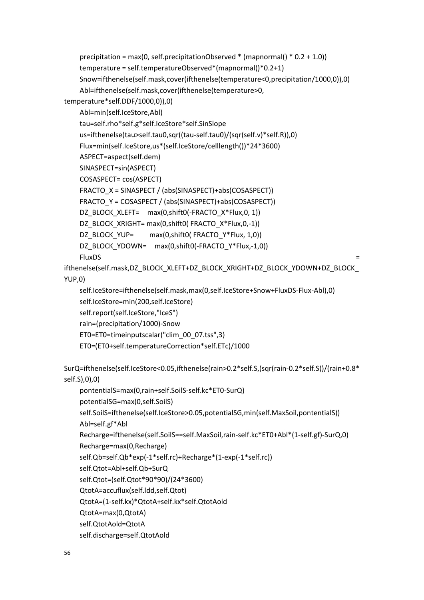```
precipitation = max(0, self.precipitationObserved * (mapnormal() * 0.2 + 1.0))
     temperature = self.temperatureObserved*(mapnormal()*0.2+1)
     Snow=ifthenelse(self.mask,cover(ifthenelse(temperature<0,precipitation/1000,0)),0)
     Abl=ifthenelse(self.mask,cover(ifthenelse(temperature>0, 
temperature*self.DDF/1000,0)),0)
     Abl=min(self.IceStore,Abl)
     tau=self.rho*self.g*self.IceStore*self.SinSlope
     us=ifthenelse(tau>self.tau0,sqr((tau-self.tau0)/(sqr(self.v)*self.R)),0)
     Flux=min(self.IceStore,us*(self.IceStore/celllength())*24*3600)
     ASPECT=aspect(self.dem)
     SINASPECT=sin(ASPECT)
     COSASPECT= cos(ASPECT)
     FRACTO_X = SINASPECT / (abs(SINASPECT)+abs(COSASPECT))
     FRACTO_Y = COSASPECT / (abs(SINASPECT)+abs(COSASPECT))
    DZ_BLOCK_XLEFT= max(0,shift0(-FRACTO_X*Flux,0, 1))
    DZ_BLOCK_XRIGHT= max(0,shift0( FRACTO_X*Flux,0,-1))
    DZ_BLOCK_YUP= max(0,shift0( FRACTO_Y*Flux, 1,0))
    DZ_BLOCK_YDOWN= max(0,shift0(-FRACTO_Y*Flux,-1,0))
FluxDS =ifthenelse(self.mask,DZ_BLOCK_XLEFT+DZ_BLOCK_XRIGHT+DZ_BLOCK_YDOWN+DZ_BLOCK_
YUP,0)
     self.IceStore=ifthenelse(self.mask,max(0,self.IceStore+Snow+FluxDS-Flux-Abl),0)
     self.IceStore=min(200,self.IceStore)
     self.report(self.IceStore,"IceS")
     rain=(precipitation/1000)-Snow
     ET0=ET0=timeinputscalar("clim_00_07.tss",3)
     ET0=(ET0+self.temperatureCorrection*self.ETc)/1000
SurQ=ifthenelse(self.IceStore<0.05,ifthenelse(rain>0.2*self.S,(sqr(rain-0.2*self.S))/(rain+0.8*
self.S),0),0)
     pontentialS=max(0,rain+self.SoilS-self.kc*ET0-SurQ)
     potentialSG=max(0,self.SoilS)
     self.SoilS=ifthenelse(self.IceStore>0.05,potentialSG,min(self.MaxSoil,pontentialS))
     Abl=self.gf*Abl
     Recharge=ifthenelse(self.SoilS==self.MaxSoil,rain-self.kc*ET0+Abl*(1-self.gf)-SurQ,0)
     Recharge=max(0,Recharge)
     self.Qb=self.Qb*exp(-1*self.rc)+Recharge*(1-exp(-1*self.rc))
     self.Qtot=Abl+self.Qb+SurQ
     self.Qtot=(self.Qtot*90*90)/(24*3600)
     QtotA=accuflux(self.ldd,self.Qtot)
     QtotA=(1-self.kx)*QtotA+self.kx*self.QtotAold
     QtotA=max(0,QtotA)
     self.QtotAold=QtotA
     self.discharge=self.QtotAold
```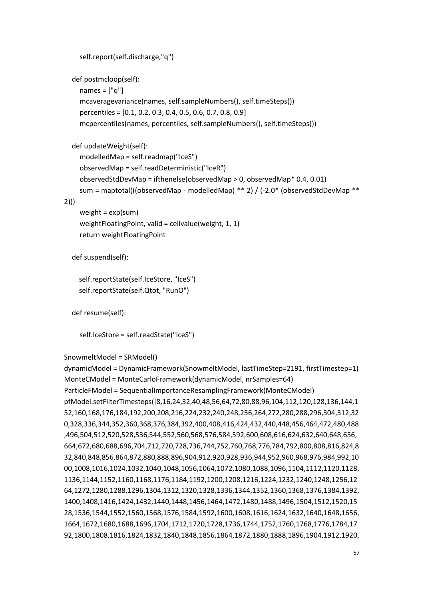```
 self.report(self.discharge,"q")
```
def postmcloop(self):

names  $=$   $\lceil$ " $\lceil$ " $\rceil$ 

 mcaveragevariance(names, self.sampleNumbers(), self.timeSteps()) percentiles = [0.1, 0.2, 0.3, 0.4, 0.5, 0.6, 0.7, 0.8, 0.9] mcpercentiles(names, percentiles, self.sampleNumbers(), self.timeSteps())

def updateWeight(self):

modelledMap = self.readmap("IceS")

 observedMap = self.readDeterministic("IceR") observedStdDevMap = ifthenelse(observedMap > 0, observedMap\* 0.4, 0.01) sum = maptotal(((observedMap - modelledMap) \*\* 2) / (-2.0\* (observedStdDevMap \*\*

## 2)))

weight =  $exp(sum)$  weightFloatingPoint, valid = cellvalue(weight, 1, 1) return weightFloatingPoint

def suspend(self):

self.reportState(self.IceStore, "IceS") self.reportState(self.Qtot, "RunO")

def resume(self):

self.IceStore = self.readState("IceS")

# SnowmeltModel = SRModel()

dynamicModel = DynamicFramework(SnowmeltModel, lastTimeStep=2191, firstTimestep=1) MonteCModel = MonteCarloFramework(dynamicModel, nrSamples=64) ParticleFModel = SequentialImportanceResamplingFramework(MonteCModel) pfModel.setFilterTimesteps([8,16,24,32,40,48,56,64,72,80,88,96,104,112,120,128,136,144,1 52,160,168,176,184,192,200,208,216,224,232,240,248,256,264,272,280,288,296,304,312,32 0,328,336,344,352,360,368,376,384,392,400,408,416,424,432,440,448,456,464,472,480,488 ,496,504,512,520,528,536,544,552,560,568,576,584,592,600,608,616,624,632,640,648,656, 664,672,680,688,696,704,712,720,728,736,744,752,760,768,776,784,792,800,808,816,824,8 32,840,848,856,864,872,880,888,896,904,912,920,928,936,944,952,960,968,976,984,992,10 00,1008,1016,1024,1032,1040,1048,1056,1064,1072,1080,1088,1096,1104,1112,1120,1128, 1136,1144,1152,1160,1168,1176,1184,1192,1200,1208,1216,1224,1232,1240,1248,1256,12 64,1272,1280,1288,1296,1304,1312,1320,1328,1336,1344,1352,1360,1368,1376,1384,1392, 1400,1408,1416,1424,1432,1440,1448,1456,1464,1472,1480,1488,1496,1504,1512,1520,15 28,1536,1544,1552,1560,1568,1576,1584,1592,1600,1608,1616,1624,1632,1640,1648,1656, 1664,1672,1680,1688,1696,1704,1712,1720,1728,1736,1744,1752,1760,1768,1776,1784,17 92,1800,1808,1816,1824,1832,1840,1848,1856,1864,1872,1880,1888,1896,1904,1912,1920,